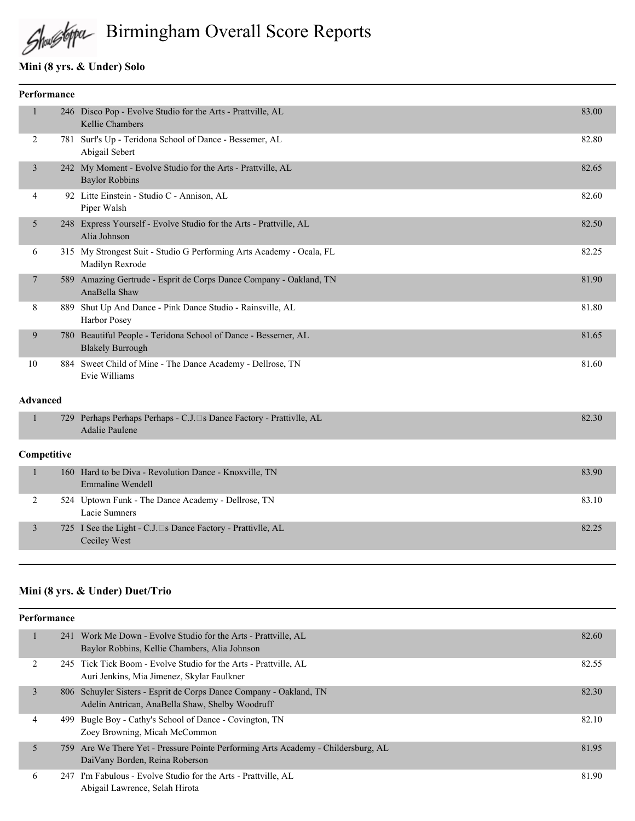# Shustopa Birmingham Overall Score Reports

## **Mini (8 yrs. & Under) Solo**

| Performance     |  |                                                                                              |       |  |  |
|-----------------|--|----------------------------------------------------------------------------------------------|-------|--|--|
| $\mathbf{1}$    |  | 246 Disco Pop - Evolve Studio for the Arts - Prattville, AL<br><b>Kellie Chambers</b>        | 83.00 |  |  |
| 2               |  | 781 Surf's Up - Teridona School of Dance - Bessemer, AL<br>Abigail Sebert                    | 82.80 |  |  |
| $\mathfrak{Z}$  |  | 242 My Moment - Evolve Studio for the Arts - Prattville, AL<br><b>Baylor Robbins</b>         | 82.65 |  |  |
| 4               |  | 92 Litte Einstein - Studio C - Annison, AL<br>Piper Walsh                                    | 82.60 |  |  |
| 5               |  | 248 Express Yourself - Evolve Studio for the Arts - Prattville, AL<br>Alia Johnson           | 82.50 |  |  |
| 6               |  | 315 My Strongest Suit - Studio G Performing Arts Academy - Ocala, FL<br>Madilyn Rexrode      | 82.25 |  |  |
| 7               |  | 589 Amazing Gertrude - Esprit de Corps Dance Company - Oakland, TN<br>AnaBella Shaw          | 81.90 |  |  |
| 8               |  | 889 Shut Up And Dance - Pink Dance Studio - Rainsville, AL<br>Harbor Posey                   | 81.80 |  |  |
| 9               |  | 780 Beautiful People - Teridona School of Dance - Bessemer, AL<br><b>Blakely Burrough</b>    | 81.65 |  |  |
| 10              |  | 884 Sweet Child of Mine - The Dance Academy - Dellrose, TN<br>Evie Williams                  | 81.60 |  |  |
| <b>Advanced</b> |  |                                                                                              |       |  |  |
| $\mathbf{1}$    |  | 729 Perhaps Perhaps Perhaps - C.J. S Dance Factory - Prattivlle, AL<br><b>Adalie Paulene</b> | 82.30 |  |  |
| Competitive     |  |                                                                                              |       |  |  |
| $\mathbf{1}$    |  | 160 Hard to be Diva - Revolution Dance - Knoxville, TN<br><b>Emmaline Wendell</b>            | 83.90 |  |  |
| 2               |  | 524 Uptown Funk - The Dance Academy - Dellrose, TN<br>Lacie Sumners                          | 83.10 |  |  |
| 3               |  | 725 I See the Light - C.J. S Dance Factory - Prattivlle, AL<br>Ceciley West                  | 82.25 |  |  |

## **Mini (8 yrs. & Under) Duet/Trio**

| Performance |      |                                                                                                                       |       |  |
|-------------|------|-----------------------------------------------------------------------------------------------------------------------|-------|--|
|             |      | 241 Work Me Down - Evolve Studio for the Arts - Prattville, AL<br>Baylor Robbins, Kellie Chambers, Alia Johnson       | 82.60 |  |
| 2           |      | 245 Tick Tick Boom - Evolve Studio for the Arts - Prattville, AL<br>Auri Jenkins, Mia Jimenez, Skylar Faulkner        | 82.55 |  |
| 3           |      | 806 Schuyler Sisters - Esprit de Corps Dance Company - Oakland, TN<br>Adelin Antrican, AnaBella Shaw, Shelby Woodruff | 82.30 |  |
| 4           | 499. | Bugle Boy - Cathy's School of Dance - Covington, TN<br>Zoey Browning, Micah McCommon                                  | 82.10 |  |
| 5           |      | 759 Are We There Yet - Pressure Pointe Performing Arts Academy - Childersburg, AL<br>DaiVany Borden, Reina Roberson   | 81.95 |  |
| 6           |      | 247 I'm Fabulous - Evolve Studio for the Arts - Prattville, AL<br>Abigail Lawrence, Selah Hirota                      | 81.90 |  |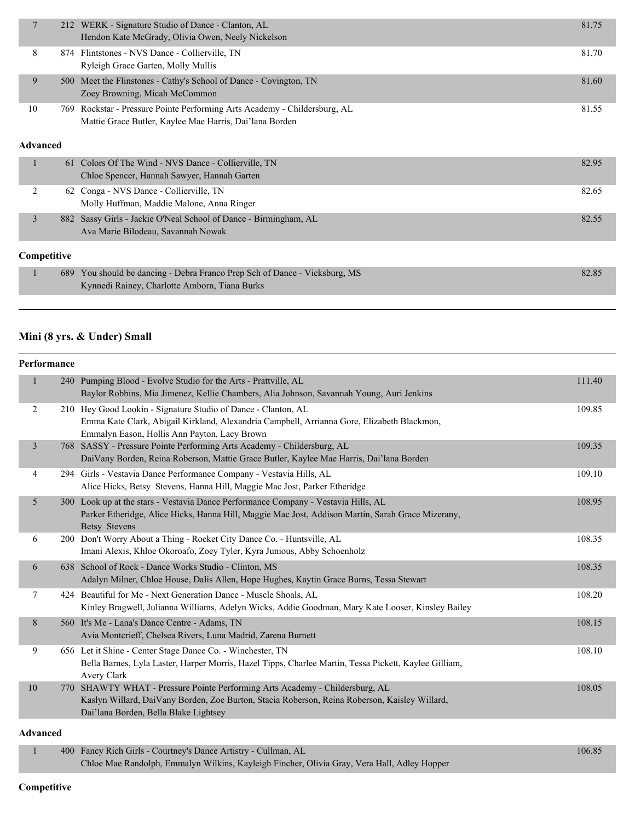| 7              | 212 | WERK - Signature Studio of Dance - Clanton, AL<br>Hendon Kate McGrady, Olivia Owen, Neely Nickelson                              | 81.75 |
|----------------|-----|----------------------------------------------------------------------------------------------------------------------------------|-------|
| 8              |     | 874 Flintstones - NVS Dance - Collierville, TN<br>Ryleigh Grace Garten, Molly Mullis                                             | 81.70 |
| 9              | 500 | Meet the Flinstones - Cathy's School of Dance - Covington, TN<br>Zoey Browning, Micah McCommon                                   | 81.60 |
| 10             | 769 | Rockstar - Pressure Pointe Performing Arts Academy - Childersburg, AL<br>Mattie Grace Butler, Kaylee Mae Harris, Dai'lana Borden | 81.55 |
| Advanced       |     |                                                                                                                                  |       |
| 1              | 61  | Colors Of The Wind - NVS Dance - Collierville, TN<br>Chloe Spencer, Hannah Sawyer, Hannah Garten                                 | 82.95 |
| 2              |     | 62 Conga - NVS Dance - Collierville, TN<br>Molly Huffman, Maddie Malone, Anna Ringer                                             | 82.65 |
| $\overline{3}$ |     | 882 Sassy Girls - Jackie O'Neal School of Dance - Birmingham, AL<br>Ava Marie Bilodeau, Savannah Nowak                           | 82.55 |
| Competitive    |     |                                                                                                                                  |       |
| $\mathbf{1}$   | 689 | You should be dancing - Debra Franco Prep Sch of Dance - Vicksburg, MS<br>Kynnedi Rainey, Charlotte Amborn, Tiana Burks          | 82.85 |
|                |     |                                                                                                                                  |       |

## **Mini (8 yrs. & Under) Small**

| <b>Performance</b> |     |                                                                                                                                                                                                                    |        |
|--------------------|-----|--------------------------------------------------------------------------------------------------------------------------------------------------------------------------------------------------------------------|--------|
|                    |     | 240 Pumping Blood - Evolve Studio for the Arts - Prattville, AL<br>Baylor Robbins, Mia Jimenez, Kellie Chambers, Alia Johnson, Savannah Young, Auri Jenkins                                                        | 111.40 |
| 2                  |     | 210 Hey Good Lookin - Signature Studio of Dance - Clanton, AL<br>Emma Kate Clark, Abigail Kirkland, Alexandria Campbell, Arrianna Gore, Elizabeth Blackmon,<br>Emmalyn Eason, Hollis Ann Payton, Lacy Brown        | 109.85 |
| 3                  |     | 768 SASSY - Pressure Pointe Performing Arts Academy - Childersburg, AL<br>DaiVany Borden, Reina Roberson, Mattie Grace Butler, Kaylee Mae Harris, Dai'lana Borden                                                  | 109.35 |
| 4                  |     | 294 Girls - Vestavia Dance Performance Company - Vestavia Hills, AL<br>Alice Hicks, Betsy Stevens, Hanna Hill, Maggie Mac Jost, Parker Etheridge                                                                   | 109.10 |
| 5                  |     | 300 Look up at the stars - Vestavia Dance Performance Company - Vestavia Hills, AL<br>Parker Etheridge, Alice Hicks, Hanna Hill, Maggie Mac Jost, Addison Martin, Sarah Grace Mizerany,<br><b>Betsy Stevens</b>    | 108.95 |
| 6                  |     | 200 Don't Worry About a Thing - Rocket City Dance Co. - Huntsville, AL<br>Imani Alexis, Khloe Okoroafo, Zoey Tyler, Kyra Junious, Abby Schoenholz                                                                  | 108.35 |
| 6                  |     | 638 School of Rock - Dance Works Studio - Clinton, MS<br>Adalyn Milner, Chloe House, Dalis Allen, Hope Hughes, Kaytin Grace Burns, Tessa Stewart                                                                   | 108.35 |
| 7                  |     | 424 Beautiful for Me - Next Generation Dance - Muscle Shoals, AL<br>Kinley Bragwell, Julianna Williams, Adelyn Wicks, Addie Goodman, Mary Kate Looser, Kinsley Bailey                                              | 108.20 |
| 8                  |     | 560 It's Me - Lana's Dance Centre - Adams, TN<br>Avia Montcrieff, Chelsea Rivers, Luna Madrid, Zarena Burnett                                                                                                      | 108.15 |
| 9                  |     | 656 Let it Shine - Center Stage Dance Co. - Winchester, TN<br>Bella Barnes, Lyla Laster, Harper Morris, Hazel Tipps, Charlee Martin, Tessa Pickett, Kaylee Gilliam,<br>Avery Clark                                 | 108.10 |
| 10                 | 770 | SHAWTY WHAT - Pressure Pointe Performing Arts Academy - Childersburg, AL<br>Kaslyn Willard, DaiVany Borden, Zoe Burton, Stacia Roberson, Reina Roberson, Kaisley Willard,<br>Dai'lana Borden, Bella Blake Lightsey | 108.05 |
| <b>Advanced</b>    |     |                                                                                                                                                                                                                    |        |
|                    |     | 400 Fenoy Bigh Girls, Courtney's Dengo Artistry, Cullman, AI                                                                                                                                                       | 106.05 |

Fancy Rich Girls - Courtney's Dance Artistry - Cullman, AL 106.85 Chloe Mae Randolph, Emmalyn Wilkins, Kayleigh Fincher, Olivia Gray, Vera Hall, Adley Hopper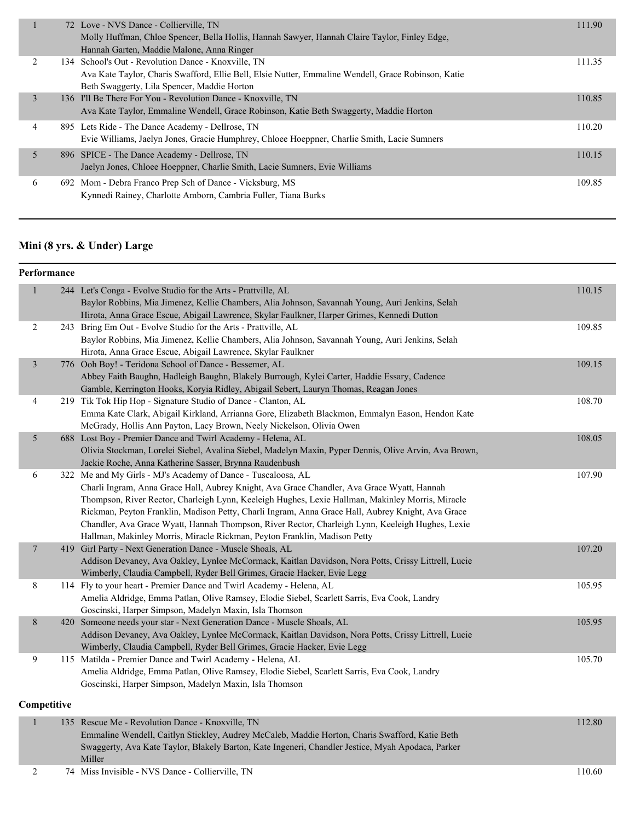|   | 72 Love - NVS Dance - Collierville, TN<br>Molly Huffman, Chloe Spencer, Bella Hollis, Hannah Sawyer, Hannah Claire Taylor, Finley Edge,<br>Hannah Garten, Maddie Malone, Anna Ringer                      | 111.90 |
|---|-----------------------------------------------------------------------------------------------------------------------------------------------------------------------------------------------------------|--------|
|   | 134 School's Out - Revolution Dance - Knoxville, TN<br>Ava Kate Taylor, Charis Swafford, Ellie Bell, Elsie Nutter, Emmaline Wendell, Grace Robinson, Katie<br>Beth Swaggerty, Lila Spencer, Maddie Horton | 111.35 |
| 3 | 136 I'll Be There For You - Revolution Dance - Knoxville, TN<br>Ava Kate Taylor, Emmaline Wendell, Grace Robinson, Katie Beth Swaggerty, Maddie Horton                                                    | 110.85 |
| 4 | 895 Lets Ride - The Dance Academy - Dellrose, TN<br>Evie Williams, Jaelyn Jones, Gracie Humphrey, Chloee Hoeppner, Charlie Smith, Lacie Sumners                                                           | 110.20 |
| 5 | 896 SPICE - The Dance Academy - Dellrose, TN<br>Jaelyn Jones, Chloee Hoeppner, Charlie Smith, Lacie Sumners, Evie Williams                                                                                | 110.15 |
| 6 | 692 Mom - Debra Franco Prep Sch of Dance - Vicksburg, MS<br>Kynnedi Rainey, Charlotte Amborn, Cambria Fuller, Tiana Burks                                                                                 | 109.85 |

## **Mini (8 yrs. & Under) Large**

|                | Performance |                                                                                                                                   |        |  |  |  |
|----------------|-------------|-----------------------------------------------------------------------------------------------------------------------------------|--------|--|--|--|
| $\mathbf{1}$   |             | 244 Let's Conga - Evolve Studio for the Arts - Prattville, AL                                                                     | 110.15 |  |  |  |
|                |             | Baylor Robbins, Mia Jimenez, Kellie Chambers, Alia Johnson, Savannah Young, Auri Jenkins, Selah                                   |        |  |  |  |
|                |             | Hirota, Anna Grace Escue, Abigail Lawrence, Skylar Faulkner, Harper Grimes, Kennedi Dutton                                        |        |  |  |  |
| $\overline{c}$ |             | 243 Bring Em Out - Evolve Studio for the Arts - Prattville, AL                                                                    | 109.85 |  |  |  |
|                |             | Baylor Robbins, Mia Jimenez, Kellie Chambers, Alia Johnson, Savannah Young, Auri Jenkins, Selah                                   |        |  |  |  |
|                |             | Hirota, Anna Grace Escue, Abigail Lawrence, Skylar Faulkner                                                                       |        |  |  |  |
| $\mathfrak{Z}$ |             | 776 Ooh Boy! - Teridona School of Dance - Bessemer, AL                                                                            | 109.15 |  |  |  |
|                |             | Abbey Faith Baughn, Hadleigh Baughn, Blakely Burrough, Kylei Carter, Haddie Essary, Cadence                                       |        |  |  |  |
|                |             | Gamble, Kerrington Hooks, Koryia Ridley, Abigail Sebert, Lauryn Thomas, Reagan Jones                                              |        |  |  |  |
| 4              |             | 219 Tik Tok Hip Hop - Signature Studio of Dance - Clanton, AL                                                                     | 108.70 |  |  |  |
|                |             | Emma Kate Clark, Abigail Kirkland, Arrianna Gore, Elizabeth Blackmon, Emmalyn Eason, Hendon Kate                                  |        |  |  |  |
|                |             | McGrady, Hollis Ann Payton, Lacy Brown, Neely Nickelson, Olivia Owen                                                              |        |  |  |  |
| 5              |             | 688 Lost Boy - Premier Dance and Twirl Academy - Helena, AL                                                                       | 108.05 |  |  |  |
|                |             | Olivia Stockman, Lorelei Siebel, Avalina Siebel, Madelyn Maxin, Pyper Dennis, Olive Arvin, Ava Brown,                             |        |  |  |  |
|                |             | Jackie Roche, Anna Katherine Sasser, Brynna Raudenbush                                                                            |        |  |  |  |
| 6              |             | 322 Me and My Girls - MJ's Academy of Dance - Tuscaloosa, AL                                                                      | 107.90 |  |  |  |
|                |             | Charli Ingram, Anna Grace Hall, Aubrey Knight, Ava Grace Chandler, Ava Grace Wyatt, Hannah                                        |        |  |  |  |
|                |             | Thompson, River Rector, Charleigh Lynn, Keeleigh Hughes, Lexie Hallman, Makinley Morris, Miracle                                  |        |  |  |  |
|                |             | Rickman, Peyton Franklin, Madison Petty, Charli Ingram, Anna Grace Hall, Aubrey Knight, Ava Grace                                 |        |  |  |  |
|                |             | Chandler, Ava Grace Wyatt, Hannah Thompson, River Rector, Charleigh Lynn, Keeleigh Hughes, Lexie                                  |        |  |  |  |
|                |             | Hallman, Makinley Morris, Miracle Rickman, Peyton Franklin, Madison Petty                                                         |        |  |  |  |
| $\overline{7}$ |             | 419 Girl Party - Next Generation Dance - Muscle Shoals, AL                                                                        | 107.20 |  |  |  |
|                |             | Addison Devaney, Ava Oakley, Lynlee McCormack, Kaitlan Davidson, Nora Potts, Crissy Littrell, Lucie                               |        |  |  |  |
|                |             | Wimberly, Claudia Campbell, Ryder Bell Grimes, Gracie Hacker, Evie Legg                                                           |        |  |  |  |
| $\,$ 8 $\,$    |             | 114 Fly to your heart - Premier Dance and Twirl Academy - Helena, AL                                                              | 105.95 |  |  |  |
|                |             | Amelia Aldridge, Emma Patlan, Olive Ramsey, Elodie Siebel, Scarlett Sarris, Eva Cook, Landry                                      |        |  |  |  |
|                |             | Goscinski, Harper Simpson, Madelyn Maxin, Isla Thomson<br>420 Someone needs your star - Next Generation Dance - Muscle Shoals, AL | 105.95 |  |  |  |
| $\,8$          |             | Addison Devaney, Ava Oakley, Lynlee McCormack, Kaitlan Davidson, Nora Potts, Crissy Littrell, Lucie                               |        |  |  |  |
|                |             | Wimberly, Claudia Campbell, Ryder Bell Grimes, Gracie Hacker, Evie Legg                                                           |        |  |  |  |
| 9              |             | 115 Matilda - Premier Dance and Twirl Academy - Helena, AL                                                                        | 105.70 |  |  |  |
|                |             | Amelia Aldridge, Emma Patlan, Olive Ramsey, Elodie Siebel, Scarlett Sarris, Eva Cook, Landry                                      |        |  |  |  |
|                |             | Goscinski, Harper Simpson, Madelyn Maxin, Isla Thomson                                                                            |        |  |  |  |
|                |             |                                                                                                                                   |        |  |  |  |
|                | Competitive |                                                                                                                                   |        |  |  |  |
| $\mathbf{1}$   |             | 135 Rescue Me - Revolution Dance - Knoxville, TN                                                                                  | 112.80 |  |  |  |

Emmaline Wendell, Caitlyn Stickley, Audrey McCaleb, Maddie Horton, Charis Swafford, Katie Beth Swaggerty, Ava Kate Taylor, Blakely Barton, Kate Ingeneri, Chandler Jestice, Myah Apodaca, Parker Miller 2 74 Miss Invisible - NVS Dance - Collierville, TN 110.60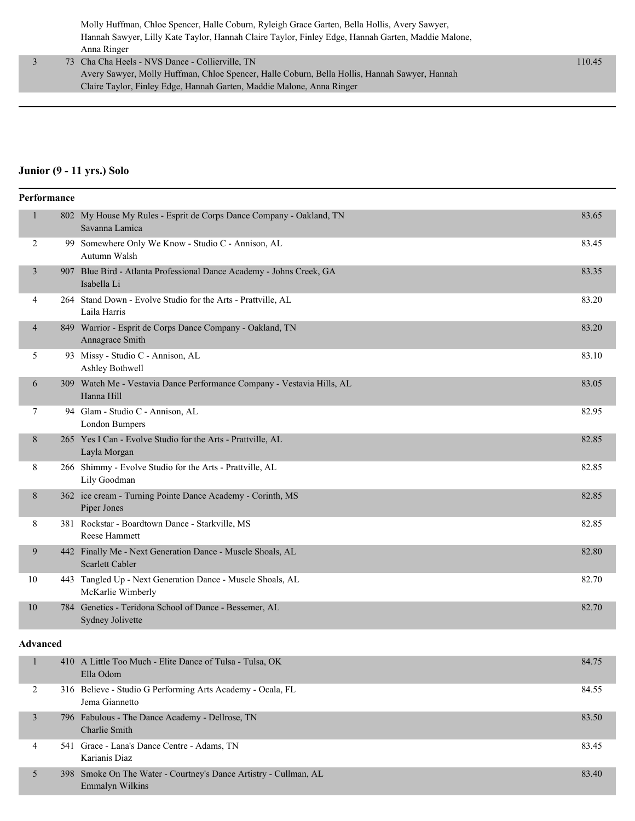Molly Huffman, Chloe Spencer, Halle Coburn, Ryleigh Grace Garten, Bella Hollis, Avery Sawyer, Hannah Sawyer, Lilly Kate Taylor, Hannah Claire Taylor, Finley Edge, Hannah Garten, Maddie Malone, Anna Ringer

 3 73 Cha Cha Heels - NVS Dance - Collierville, TN 110.45 Avery Sawyer, Molly Huffman, Chloe Spencer, Halle Coburn, Bella Hollis, Hannah Sawyer, Hannah Claire Taylor, Finley Edge, Hannah Garten, Maddie Malone, Anna Ringer

#### **Junior (9 - 11 yrs.) Solo**

| Performance    |  |                                                                                       |       |
|----------------|--|---------------------------------------------------------------------------------------|-------|
| $\mathbf{1}$   |  | 802 My House My Rules - Esprit de Corps Dance Company - Oakland, TN<br>Savanna Lamica | 83.65 |
| 2              |  | 99 Somewhere Only We Know - Studio C - Annison, AL<br>Autumn Walsh                    | 83.45 |
| 3              |  | 907 Blue Bird - Atlanta Professional Dance Academy - Johns Creek, GA<br>Isabella Li   | 83.35 |
| 4              |  | 264 Stand Down - Evolve Studio for the Arts - Prattville, AL<br>Laila Harris          | 83.20 |
| $\overline{4}$ |  | 849 Warrior - Esprit de Corps Dance Company - Oakland, TN<br>Annagrace Smith          | 83.20 |
| 5              |  | 93 Missy - Studio C - Annison, AL<br>Ashley Bothwell                                  | 83.10 |
| 6              |  | 309 Watch Me - Vestavia Dance Performance Company - Vestavia Hills, AL<br>Hanna Hill  | 83.05 |
| 7              |  | 94 Glam - Studio C - Annison, AL<br>London Bumpers                                    | 82.95 |
| 8              |  | 265 Yes I Can - Evolve Studio for the Arts - Prattville, AL<br>Layla Morgan           | 82.85 |
| 8              |  | 266 Shimmy - Evolve Studio for the Arts - Prattville, AL<br>Lily Goodman              | 82.85 |
| $8\phantom{.}$ |  | 362 ice cream - Turning Pointe Dance Academy - Corinth, MS<br>Piper Jones             | 82.85 |
| 8              |  | 381 Rockstar - Boardtown Dance - Starkville, MS<br><b>Reese Hammett</b>               | 82.85 |
| 9              |  | 442 Finally Me - Next Generation Dance - Muscle Shoals, AL<br><b>Scarlett Cabler</b>  | 82.80 |
| 10             |  | 443 Tangled Up - Next Generation Dance - Muscle Shoals, AL<br>McKarlie Wimberly       | 82.70 |
| 10             |  | 784 Genetics - Teridona School of Dance - Bessemer, AL<br>Sydney Jolivette            | 82.70 |

#### **Advanced**

|   | 410 A Little Too Much - Elite Dance of Tulsa - Tulsa, OK<br>Ella Odom               | 84.75 |
|---|-------------------------------------------------------------------------------------|-------|
|   | 316 Believe - Studio G Performing Arts Academy - Ocala, FL<br>Jema Giannetto        | 84.55 |
|   | 796 Fabulous - The Dance Academy - Dellrose, TN<br>Charlie Smith                    | 83.50 |
| 4 | 541 Grace - Lana's Dance Centre - Adams, TN<br>Karianis Diaz                        | 83.45 |
|   | 398 Smoke On The Water - Courtney's Dance Artistry - Cullman, AL<br>Emmalyn Wilkins | 83.40 |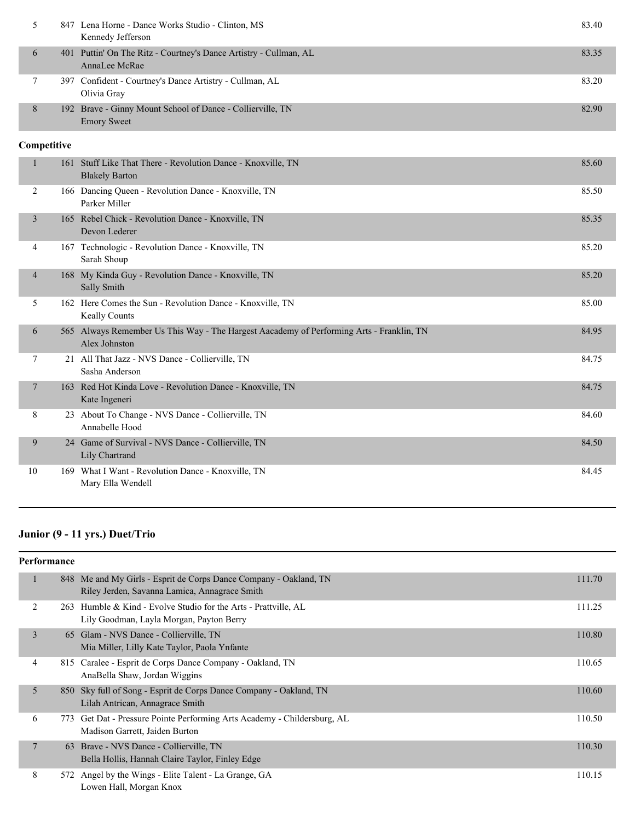|             |  | 847 Lena Horne - Dance Works Studio - Clinton, MS<br>Kennedy Jefferson             | 83.40 |
|-------------|--|------------------------------------------------------------------------------------|-------|
| 6           |  | 401 Puttin' On The Ritz - Courtney's Dance Artistry - Cullman, AL<br>AnnaLee McRae | 83.35 |
|             |  | 397 Confident - Courtney's Dance Artistry - Cullman, AL<br>Olivia Gray             | 83.20 |
| 8           |  | 192 Brave - Ginny Mount School of Dance - Collierville, TN<br><b>Emory Sweet</b>   | 82.90 |
| Competitive |  |                                                                                    |       |

| $\mathbf{1}$   |     | 161 Stuff Like That There - Revolution Dance - Knoxville, TN<br><b>Blakely Barton</b>                 | 85.60 |
|----------------|-----|-------------------------------------------------------------------------------------------------------|-------|
| 2              |     | 166 Dancing Queen - Revolution Dance - Knoxville, TN<br>Parker Miller                                 | 85.50 |
| $\overline{3}$ |     | 165 Rebel Chick - Revolution Dance - Knoxville, TN<br>Devon Lederer                                   | 85.35 |
| 4              |     | 167 Technologic - Revolution Dance - Knoxville, TN<br>Sarah Shoup                                     | 85.20 |
| $\overline{4}$ |     | 168 My Kinda Guy - Revolution Dance - Knoxville, TN<br>Sally Smith                                    | 85.20 |
| 5              |     | 162 Here Comes the Sun - Revolution Dance - Knoxville, TN<br><b>Keally Counts</b>                     | 85.00 |
| 6              | 565 | Always Remember Us This Way - The Hargest Aacademy of Performing Arts - Franklin, TN<br>Alex Johnston | 84.95 |
| 7              |     | 21 All That Jazz - NVS Dance - Collierville, TN<br>Sasha Anderson                                     | 84.75 |
| $\overline{7}$ |     | 163 Red Hot Kinda Love - Revolution Dance - Knoxville, TN<br>Kate Ingeneri                            | 84.75 |
| 8              |     | 23 About To Change - NVS Dance - Collierville, TN<br>Annabelle Hood                                   | 84.60 |
| 9              |     | 24 Game of Survival - NVS Dance - Collierville, TN<br>Lily Chartrand                                  | 84.50 |
| 10             |     | 169 What I Want - Revolution Dance - Knoxville, TN<br>Mary Ella Wendell                               | 84.45 |

## **Junior (9 - 11 yrs.) Duet/Trio**

| Performance |                |     |                                                                                                                    |        |
|-------------|----------------|-----|--------------------------------------------------------------------------------------------------------------------|--------|
|             | 1              |     | 848 Me and My Girls - Esprit de Corps Dance Company - Oakland, TN<br>Riley Jerden, Savanna Lamica, Annagrace Smith | 111.70 |
|             | 2              | 263 | Humble & Kind - Evolve Studio for the Arts - Prattville, AL<br>Lily Goodman, Layla Morgan, Payton Berry            | 111.25 |
|             | 3              |     | 65 Glam - NVS Dance - Collierville, TN<br>Mia Miller, Lilly Kate Taylor, Paola Ynfante                             | 110.80 |
|             | 4              |     | 815 Caralee - Esprit de Corps Dance Company - Oakland, TN<br>AnaBella Shaw, Jordan Wiggins                         | 110.65 |
|             | 5              |     | 850 Sky full of Song - Esprit de Corps Dance Company - Oakland, TN<br>Lilah Antrican, Annagrace Smith              | 110.60 |
|             | 6              | 773 | Get Dat - Pressure Pointe Performing Arts Academy - Childersburg, AL<br>Madison Garrett, Jaiden Burton             | 110.50 |
|             | $\overline{7}$ | 63  | Brave - NVS Dance - Collierville, TN<br>Bella Hollis, Hannah Claire Taylor, Finley Edge                            | 110.30 |
|             | 8              |     | 572 Angel by the Wings - Elite Talent - La Grange, GA<br>Lowen Hall, Morgan Knox                                   | 110.15 |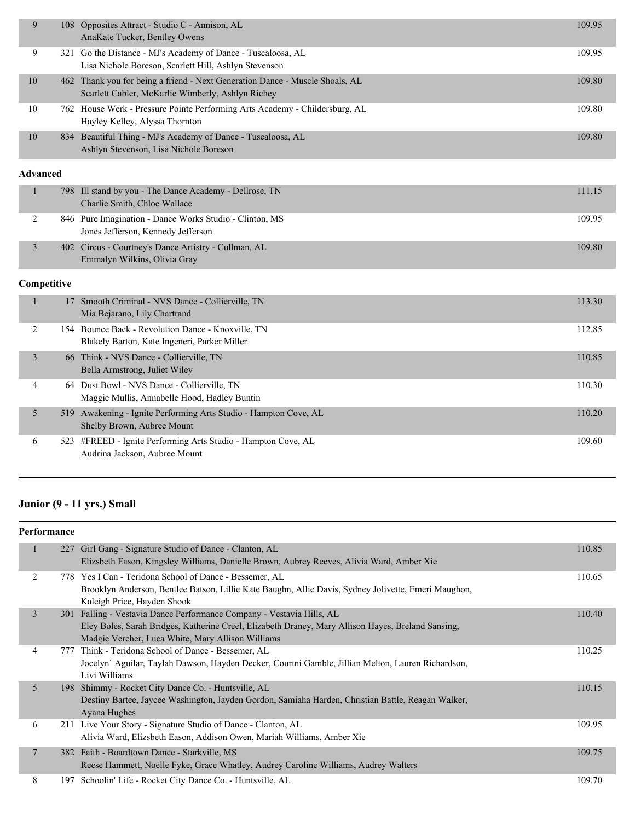| 9               |             | 108 Opposites Attract - Studio C - Annison, AL<br>AnaKate Tucker, Bentley Owens                                                   | 109.95 |
|-----------------|-------------|-----------------------------------------------------------------------------------------------------------------------------------|--------|
| 9               |             | 321 Go the Distance - MJ's Academy of Dance - Tuscaloosa, AL<br>Lisa Nichole Boreson, Scarlett Hill, Ashlyn Stevenson             | 109.95 |
| 10              |             | 462 Thank you for being a friend - Next Generation Dance - Muscle Shoals, AL<br>Scarlett Cabler, McKarlie Wimberly, Ashlyn Richey | 109.80 |
| 10              |             | 762 House Werk - Pressure Pointe Performing Arts Academy - Childersburg, AL<br>Hayley Kelley, Alyssa Thornton                     | 109.80 |
| 10              |             | 834 Beautiful Thing - MJ's Academy of Dance - Tuscaloosa, AL<br>Ashlyn Stevenson, Lisa Nichole Boreson                            | 109.80 |
| <b>Advanced</b> |             |                                                                                                                                   |        |
| $\mathbf{1}$    | 798         | Ill stand by you - The Dance Academy - Dellrose, TN<br>Charlie Smith, Chloe Wallace                                               | 111.15 |
| $\overline{2}$  |             | 846 Pure Imagination - Dance Works Studio - Clinton, MS<br>Jones Jefferson, Kennedy Jefferson                                     | 109.95 |
| $\mathfrak{Z}$  |             | 402 Circus - Courtney's Dance Artistry - Cullman, AL<br>Emmalyn Wilkins, Olivia Gray                                              | 109.80 |
|                 | Competitive |                                                                                                                                   |        |
| $\mathbf{1}$    |             | 17 Smooth Criminal - NVS Dance - Collierville, TN<br>Mia Bejarano, Lily Chartrand                                                 | 113.30 |
| 2               |             | 154 Bounce Back - Revolution Dance - Knoxville, TN<br>Blakely Barton, Kate Ingeneri, Parker Miller                                | 112.85 |
| $\mathfrak{Z}$  |             | 66 Think - NVS Dance - Collierville, TN<br>Bella Armstrong, Juliet Wiley                                                          | 110.85 |
| 4               |             | 64 Dust Bowl - NVS Dance - Collierville, TN<br>Maggie Mullis, Annabelle Hood, Hadley Buntin                                       | 110.30 |
| 5               |             | 519 Awakening - Ignite Performing Arts Studio - Hampton Cove, AL<br>Shelby Brown, Aubree Mount                                    | 110.20 |
| 6               |             | 523 #FREED - Ignite Performing Arts Studio - Hampton Cove, AL<br>Audrina Jackson, Aubree Mount                                    | 109.60 |

## **Junior (9 - 11 yrs.) Small**

| <b>Performance</b> |                |  |                                                                                                                                                                                                                                  |        |
|--------------------|----------------|--|----------------------------------------------------------------------------------------------------------------------------------------------------------------------------------------------------------------------------------|--------|
|                    | 1              |  | 227 Girl Gang - Signature Studio of Dance - Clanton, AL<br>Elizsbeth Eason, Kingsley Williams, Danielle Brown, Aubrey Reeves, Alivia Ward, Amber Xie                                                                             | 110.85 |
|                    | 2              |  | 778 Yes I Can - Teridona School of Dance - Bessemer, AL<br>Brooklyn Anderson, Bentlee Batson, Lillie Kate Baughn, Allie Davis, Sydney Jolivette, Emeri Maughon,<br>Kaleigh Price, Hayden Shook                                   | 110.65 |
|                    | $\overline{3}$ |  | 301 Falling - Vestavia Dance Performance Company - Vestavia Hills, AL<br>Eley Boles, Sarah Bridges, Katherine Creel, Elizabeth Draney, Mary Allison Hayes, Breland Sansing,<br>Madgie Vercher, Luca White, Mary Allison Williams | 110.40 |
|                    | 4              |  | 777 Think - Teridona School of Dance - Bessemer, AL<br>Jocelyn' Aguilar, Taylah Dawson, Hayden Decker, Courtni Gamble, Jillian Melton, Lauren Richardson,<br>Livi Williams                                                       | 110.25 |
|                    | 5              |  | 198 Shimmy - Rocket City Dance Co. - Huntsville, AL<br>Destiny Bartee, Jaycee Washington, Jayden Gordon, Samiaha Harden, Christian Battle, Reagan Walker,<br>Ayana Hughes                                                        | 110.15 |
|                    | 6              |  | 211 Live Your Story - Signature Studio of Dance - Clanton, AL<br>Alivia Ward, Elizsbeth Eason, Addison Owen, Mariah Williams, Amber Xie                                                                                          | 109.95 |
|                    | $\overline{7}$ |  | 382 Faith - Boardtown Dance - Starkville, MS<br>Reese Hammett, Noelle Fyke, Grace Whatley, Audrey Caroline Williams, Audrey Walters                                                                                              | 109.75 |
|                    | 8              |  | 197 Schoolin' Life - Rocket City Dance Co. - Huntsville, AL                                                                                                                                                                      | 109.70 |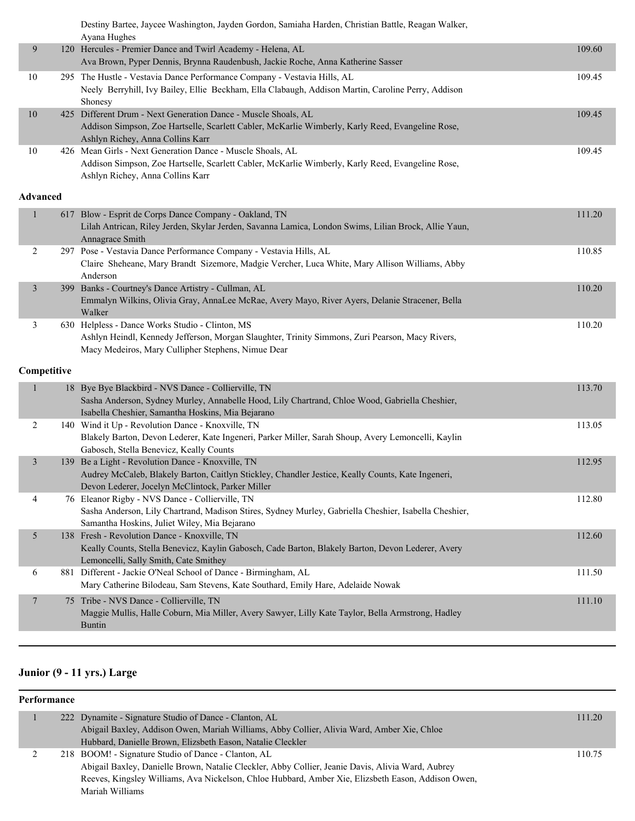Destiny Bartee, Jaycee Washington, Jayden Gordon, Samiaha Harden, Christian Battle, Reagan Walker,

|                 |     | Ayana Hughes                                                                                            |        |
|-----------------|-----|---------------------------------------------------------------------------------------------------------|--------|
| 9               |     | 120 Hercules - Premier Dance and Twirl Academy - Helena, AL                                             | 109.60 |
|                 |     | Ava Brown, Pyper Dennis, Brynna Raudenbush, Jackie Roche, Anna Katherine Sasser                         |        |
| 10              |     | 295 The Hustle - Vestavia Dance Performance Company - Vestavia Hills, AL                                | 109.45 |
|                 |     | Neely Berryhill, Ivy Bailey, Ellie Beckham, Ella Clabaugh, Addison Martin, Caroline Perry, Addison      |        |
|                 |     | Shonesy                                                                                                 |        |
| 10              |     | 425 Different Drum - Next Generation Dance - Muscle Shoals, AL                                          | 109.45 |
|                 |     | Addison Simpson, Zoe Hartselle, Scarlett Cabler, McKarlie Wimberly, Karly Reed, Evangeline Rose,        |        |
|                 |     | Ashlyn Richey, Anna Collins Karr                                                                        |        |
| 10              |     | 426 Mean Girls - Next Generation Dance - Muscle Shoals, AL                                              | 109.45 |
|                 |     | Addison Simpson, Zoe Hartselle, Scarlett Cabler, McKarlie Wimberly, Karly Reed, Evangeline Rose,        |        |
|                 |     | Ashlyn Richey, Anna Collins Karr                                                                        |        |
| <b>Advanced</b> |     |                                                                                                         |        |
| 1               | 617 | Blow - Esprit de Corps Dance Company - Oakland, TN                                                      | 111.20 |
|                 |     | Lilah Antrican, Riley Jerden, Skylar Jerden, Savanna Lamica, London Swims, Lilian Brock, Allie Yaun,    |        |
|                 |     | Annagrace Smith                                                                                         |        |
| 2               |     | 297 Pose - Vestavia Dance Performance Company - Vestavia Hills, AL                                      | 110.85 |
|                 |     | Claire Sheheane, Mary Brandt Sizemore, Madgie Vercher, Luca White, Mary Allison Williams, Abby          |        |
|                 |     | Anderson                                                                                                |        |
| 3               |     | 399 Banks - Courtney's Dance Artistry - Cullman, AL                                                     | 110.20 |
|                 |     | Emmalyn Wilkins, Olivia Gray, AnnaLee McRae, Avery Mayo, River Ayers, Delanie Stracener, Bella          |        |
|                 |     | Walker                                                                                                  |        |
| 3               |     | 630 Helpless - Dance Works Studio - Clinton, MS                                                         | 110.20 |
|                 |     | Ashlyn Heindl, Kennedy Jefferson, Morgan Slaughter, Trinity Simmons, Zuri Pearson, Macy Rivers,         |        |
|                 |     | Macy Medeiros, Mary Cullipher Stephens, Nimue Dear                                                      |        |
| Competitive     |     |                                                                                                         |        |
| 1               |     | 18 Bye Bye Blackbird - NVS Dance - Collierville, TN                                                     | 113.70 |
|                 |     | Sasha Anderson, Sydney Murley, Annabelle Hood, Lily Chartrand, Chloe Wood, Gabriella Cheshier,          |        |
|                 |     | Isabella Cheshier, Samantha Hoskins, Mia Bejarano                                                       |        |
| 2               |     | 140 Wind it Up - Revolution Dance - Knoxville, TN                                                       | 113.05 |
|                 |     | Blakely Barton, Devon Lederer, Kate Ingeneri, Parker Miller, Sarah Shoup, Avery Lemoncelli, Kaylin      |        |
|                 |     | Gabosch, Stella Benevicz, Keally Counts                                                                 |        |
| 3               |     | 139 Be a Light - Revolution Dance - Knoxville, TN                                                       | 112.95 |
|                 |     | Audrey McCaleb, Blakely Barton, Caitlyn Stickley, Chandler Jestice, Keally Counts, Kate Ingeneri,       |        |
|                 |     | Devon Lederer, Jocelyn McClintock, Parker Miller                                                        |        |
| 4               |     | 76 Eleanor Rigby - NVS Dance - Collierville, TN                                                         | 112.80 |
|                 |     | Sasha Anderson, Lily Chartrand, Madison Stires, Sydney Murley, Gabriella Cheshier, Isabella Cheshier,   |        |
|                 |     | Samantha Hoskins, Juliet Wiley, Mia Bejarano                                                            |        |
| 5               |     | 138 Fresh - Revolution Dance - Knoxville, TN                                                            | 112.60 |
|                 |     | Keally Counts, Stella Benevicz, Kaylin Gabosch, Cade Barton, Blakely Barton, Devon Lederer, Avery       |        |
|                 |     | Lemoncelli, Sally Smith, Cate Smithey<br>881 Different - Jackie O'Neal School of Dance - Birmingham, AL |        |
| 6               |     | Mary Catherine Bilodeau, Sam Stevens, Kate Southard, Emily Hare, Adelaide Nowak                         | 111.50 |
|                 |     |                                                                                                         |        |
| 7               |     | 75 Tribe - NVS Dance - Collierville, TN                                                                 | 111.10 |
|                 |     | Maggie Mullis, Halle Coburn, Mia Miller, Avery Sawyer, Lilly Kate Taylor, Bella Armstrong, Hadley       |        |
|                 |     | <b>Buntin</b>                                                                                           |        |

## **Junior (9 - 11 yrs.) Large**

#### **Performance**

|  | 222 Dynamite - Signature Studio of Dance - Clanton, AL                                             | 111.20 |
|--|----------------------------------------------------------------------------------------------------|--------|
|  | Abigail Baxley, Addison Owen, Mariah Williams, Abby Collier, Alivia Ward, Amber Xie, Chloe         |        |
|  | Hubbard, Danielle Brown, Elizsbeth Eason, Natalie Cleckler                                         |        |
|  | 218 BOOM! - Signature Studio of Dance - Clanton, AL                                                | 110.75 |
|  | Abigail Baxley, Danielle Brown, Natalie Cleckler, Abby Collier, Jeanie Davis, Alivia Ward, Aubrey  |        |
|  | Reeves, Kingsley Williams, Ava Nickelson, Chloe Hubbard, Amber Xie, Elizsbeth Eason, Addison Owen, |        |
|  | Mariah Williams                                                                                    |        |
|  |                                                                                                    |        |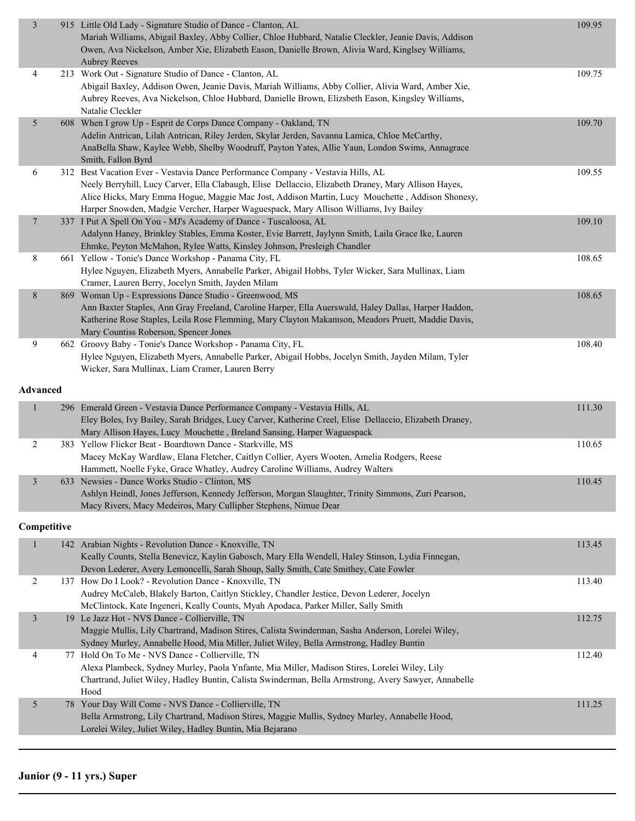| $\overline{3}$   | 915 Little Old Lady - Signature Studio of Dance - Clanton, AL                                                                                              | 109.95 |
|------------------|------------------------------------------------------------------------------------------------------------------------------------------------------------|--------|
|                  | Mariah Williams, Abigail Baxley, Abby Collier, Chloe Hubbard, Natalie Cleckler, Jeanie Davis, Addison                                                      |        |
|                  | Owen, Ava Nickelson, Amber Xie, Elizabeth Eason, Danielle Brown, Alivia Ward, Kinglsey Williams,                                                           |        |
|                  | <b>Aubrey Reeves</b>                                                                                                                                       |        |
| 4                | 213 Work Out - Signature Studio of Dance - Clanton, AL                                                                                                     | 109.75 |
|                  | Abigail Baxley, Addison Owen, Jeanie Davis, Mariah Williams, Abby Collier, Alivia Ward, Amber Xie,                                                         |        |
|                  | Aubrey Reeves, Ava Nickelson, Chloe Hubbard, Danielle Brown, Elizsbeth Eason, Kingsley Williams,                                                           |        |
|                  | Natalie Cleckler                                                                                                                                           |        |
| $\mathfrak{S}$   | 608 When I grow Up - Esprit de Corps Dance Company - Oakland, TN                                                                                           | 109.70 |
|                  | Adelin Antrican, Lilah Antrican, Riley Jerden, Skylar Jerden, Savanna Lamica, Chloe McCarthy,                                                              |        |
|                  | AnaBella Shaw, Kaylee Webb, Shelby Woodruff, Payton Yates, Allie Yaun, London Swims, Annagrace                                                             |        |
|                  | Smith, Fallon Byrd<br>312 Best Vacation Ever - Vestavia Dance Performance Company - Vestavia Hills, AL                                                     |        |
| 6                | Neely Berryhill, Lucy Carver, Ella Clabaugh, Elise Dellaccio, Elizabeth Draney, Mary Allison Hayes,                                                        | 109.55 |
|                  | Alice Hicks, Mary Emma Hogue, Maggie Mac Jost, Addison Martin, Lucy Mouchette, Addison Shonesy,                                                            |        |
|                  | Harper Snowden, Madgie Vercher, Harper Waguespack, Mary Allison Williams, Ivy Bailey                                                                       |        |
| $\boldsymbol{7}$ | 337 I Put A Spell On You - MJ's Academy of Dance - Tuscaloosa, AL                                                                                          | 109.10 |
|                  | Adalynn Haney, Brinkley Stables, Emma Koster, Evie Barrett, Jaylynn Smith, Laila Grace Ike, Lauren                                                         |        |
|                  | Ehmke, Peyton McMahon, Rylee Watts, Kinsley Johnson, Presleigh Chandler                                                                                    |        |
| 8                | 661 Yellow - Tonie's Dance Workshop - Panama City, FL                                                                                                      | 108.65 |
|                  | Hylee Nguyen, Elizabeth Myers, Annabelle Parker, Abigail Hobbs, Tyler Wicker, Sara Mullinax, Liam                                                          |        |
|                  | Cramer, Lauren Berry, Jocelyn Smith, Jayden Milam                                                                                                          |        |
| $8\,$            | 869 Woman Up - Expressions Dance Studio - Greenwood, MS                                                                                                    | 108.65 |
|                  | Ann Baxter Staples, Ann Gray Freeland, Caroline Harper, Ella Auerswald, Haley Dallas, Harper Haddon,                                                       |        |
|                  | Katherine Rose Staples, Leila Rose Flemming, Mary Clayton Makamson, Meadors Pruett, Maddie Davis,                                                          |        |
|                  | Mary Countiss Roberson, Spencer Jones                                                                                                                      |        |
| 9                | 662 Groovy Baby - Tonie's Dance Workshop - Panama City, FL                                                                                                 | 108.40 |
|                  | Hylee Nguyen, Elizabeth Myers, Annabelle Parker, Abigail Hobbs, Jocelyn Smith, Jayden Milam, Tyler                                                         |        |
|                  | Wicker, Sara Mullinax, Liam Cramer, Lauren Berry                                                                                                           |        |
| Advanced         |                                                                                                                                                            |        |
|                  |                                                                                                                                                            |        |
|                  |                                                                                                                                                            |        |
| $\mathbf{1}$     | 296 Emerald Green - Vestavia Dance Performance Company - Vestavia Hills, AL                                                                                | 111.30 |
|                  | Eley Boles, Ivy Bailey, Sarah Bridges, Lucy Carver, Katherine Creel, Elise Dellaccio, Elizabeth Draney,                                                    |        |
|                  | Mary Allison Hayes, Lucy Mouchette, Breland Sansing, Harper Waguespack                                                                                     |        |
| 2                | 383 Yellow Flicker Beat - Boardtown Dance - Starkville, MS                                                                                                 | 110.65 |
|                  | Macey McKay Wardlaw, Elana Fletcher, Caitlyn Collier, Ayers Wooten, Amelia Rodgers, Reese                                                                  |        |
| 3                | Hammett, Noelle Fyke, Grace Whatley, Audrey Caroline Williams, Audrey Walters                                                                              |        |
|                  | 633 Newsies - Dance Works Studio - Clinton, MS                                                                                                             | 110.45 |
|                  | Ashlyn Heindl, Jones Jefferson, Kennedy Jefferson, Morgan Slaughter, Trinity Simmons, Zuri Pearson,                                                        |        |
|                  | Macy Rivers, Macy Medeiros, Mary Cullipher Stephens, Nimue Dear                                                                                            |        |
| Competitive      |                                                                                                                                                            |        |
| $\mathbf{1}$     |                                                                                                                                                            | 113.45 |
|                  | 142 Arabian Nights - Revolution Dance - Knoxville, TN<br>Keally Counts, Stella Benevicz, Kaylin Gabosch, Mary Ella Wendell, Haley Stinson, Lydia Finnegan, |        |
|                  | Devon Lederer, Avery Lemoncelli, Sarah Shoup, Sally Smith, Cate Smithey, Cate Fowler                                                                       |        |
| $\overline{2}$   | 137 How Do I Look? - Revolution Dance - Knoxville, TN                                                                                                      | 113.40 |
|                  | Audrey McCaleb, Blakely Barton, Caitlyn Stickley, Chandler Jestice, Devon Lederer, Jocelyn                                                                 |        |
|                  | McClintock, Kate Ingeneri, Keally Counts, Myah Apodaca, Parker Miller, Sally Smith                                                                         |        |
| 3                | 19 Le Jazz Hot - NVS Dance - Collierville, TN                                                                                                              | 112.75 |
|                  | Maggie Mullis, Lily Chartrand, Madison Stires, Calista Swinderman, Sasha Anderson, Lorelei Wiley,                                                          |        |
|                  | Sydney Murley, Annabelle Hood, Mia Miller, Juliet Wiley, Bella Armstrong, Hadley Buntin                                                                    |        |
| 4                | 77 Hold On To Me - NVS Dance - Collierville, TN                                                                                                            | 112.40 |
|                  | Alexa Plambeck, Sydney Murley, Paola Ynfante, Mia Miller, Madison Stires, Lorelei Wiley, Lily                                                              |        |
|                  | Chartrand, Juliet Wiley, Hadley Buntin, Calista Swinderman, Bella Armstrong, Avery Sawyer, Annabelle                                                       |        |
|                  | Hood                                                                                                                                                       |        |
| 5                | 78 Your Day Will Come - NVS Dance - Collierville, TN                                                                                                       | 111.25 |
|                  | Bella Armstrong, Lily Chartrand, Madison Stires, Maggie Mullis, Sydney Murley, Annabelle Hood,                                                             |        |
|                  | Lorelei Wiley, Juliet Wiley, Hadley Buntin, Mia Bejarano                                                                                                   |        |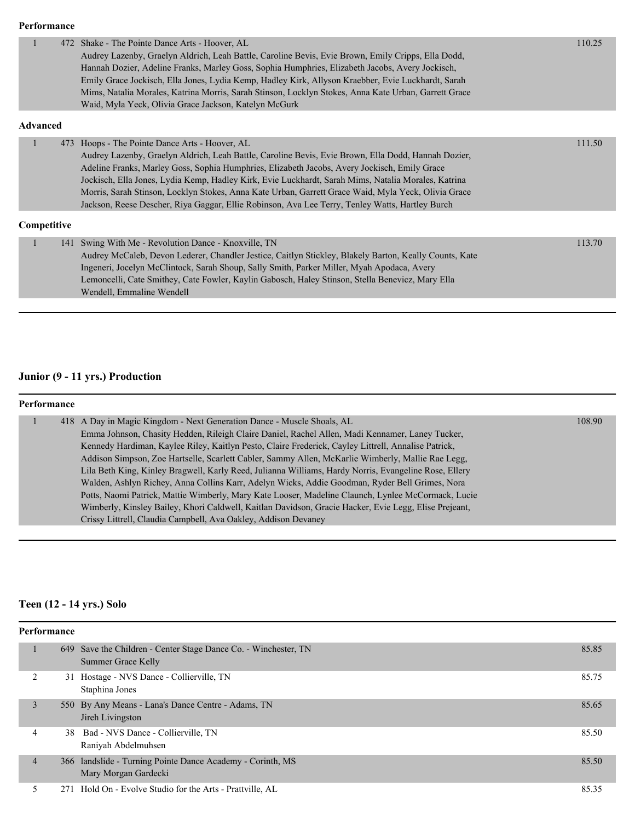#### **Performance**

| 1               | 472 Shake - The Pointe Dance Arts - Hoover, AL<br>Audrey Lazenby, Graelyn Aldrich, Leah Battle, Caroline Bevis, Evie Brown, Emily Cripps, Ella Dodd,<br>Hannah Dozier, Adeline Franks, Marley Goss, Sophia Humphries, Elizabeth Jacobs, Avery Jockisch,<br>Emily Grace Jockisch, Ella Jones, Lydia Kemp, Hadley Kirk, Allyson Kraebber, Evie Luckhardt, Sarah<br>Mims, Natalia Morales, Katrina Morris, Sarah Stinson, Locklyn Stokes, Anna Kate Urban, Garrett Grace<br>Waid, Myla Yeck, Olivia Grace Jackson, Katelyn McGurk                                         | 110.25 |
|-----------------|------------------------------------------------------------------------------------------------------------------------------------------------------------------------------------------------------------------------------------------------------------------------------------------------------------------------------------------------------------------------------------------------------------------------------------------------------------------------------------------------------------------------------------------------------------------------|--------|
| <b>Advanced</b> |                                                                                                                                                                                                                                                                                                                                                                                                                                                                                                                                                                        |        |
| $\mathbf{1}$    | 473 Hoops - The Pointe Dance Arts - Hoover, AL<br>Audrey Lazenby, Graelyn Aldrich, Leah Battle, Caroline Bevis, Evie Brown, Ella Dodd, Hannah Dozier,<br>Adeline Franks, Marley Goss, Sophia Humphries, Elizabeth Jacobs, Avery Jockisch, Emily Grace<br>Jockisch, Ella Jones, Lydia Kemp, Hadley Kirk, Evie Luckhardt, Sarah Mims, Natalia Morales, Katrina<br>Morris, Sarah Stinson, Locklyn Stokes, Anna Kate Urban, Garrett Grace Waid, Myla Yeck, Olivia Grace<br>Jackson, Reese Descher, Riya Gaggar, Ellie Robinson, Ava Lee Terry, Tenley Watts, Hartley Burch | 111.50 |
| Competitive     |                                                                                                                                                                                                                                                                                                                                                                                                                                                                                                                                                                        |        |
| $\mathbf{1}$    | 141 Swing With Me - Revolution Dance - Knoxville, TN<br>Audrey McCaleb, Devon Lederer, Chandler Jestice, Caitlyn Stickley, Blakely Barton, Keally Counts, Kate<br>Ingeneri, Jocelyn McClintock, Sarah Shoup, Sally Smith, Parker Miller, Myah Apodaca, Avery<br>Lemoncelli, Cate Smithey, Cate Fowler, Kaylin Gabosch, Haley Stinson, Stella Benevicz, Mary Ella<br>Wendell, Emmaline Wendell                                                                                                                                                                          | 113.70 |
|                 |                                                                                                                                                                                                                                                                                                                                                                                                                                                                                                                                                                        |        |

### **Junior (9 - 11 yrs.) Production**

| Performance |                                                                                                                                                                                                                                                                                                                                                                                                                                                                                                                                                                                                                                                                                                                                                                                                                 |        |  |  |
|-------------|-----------------------------------------------------------------------------------------------------------------------------------------------------------------------------------------------------------------------------------------------------------------------------------------------------------------------------------------------------------------------------------------------------------------------------------------------------------------------------------------------------------------------------------------------------------------------------------------------------------------------------------------------------------------------------------------------------------------------------------------------------------------------------------------------------------------|--------|--|--|
|             | 418 A Day in Magic Kingdom - Next Generation Dance - Muscle Shoals, AL<br>Emma Johnson, Chasity Hedden, Rileigh Claire Daniel, Rachel Allen, Madi Kennamer, Laney Tucker,<br>Kennedy Hardiman, Kaylee Riley, Kaitlyn Pesto, Claire Frederick, Cayley Littrell, Annalise Patrick,<br>Addison Simpson, Zoe Hartselle, Scarlett Cabler, Sammy Allen, McKarlie Wimberly, Mallie Rae Legg,<br>Lila Beth King, Kinley Bragwell, Karly Reed, Julianna Williams, Hardy Norris, Evangeline Rose, Ellery<br>Walden, Ashlyn Richey, Anna Collins Karr, Adelyn Wicks, Addie Goodman, Ryder Bell Grimes, Nora<br>Potts, Naomi Patrick, Mattie Wimberly, Mary Kate Looser, Madeline Claunch, Lynlee McCormack, Lucie<br>Wimberly, Kinsley Bailey, Khori Caldwell, Kaitlan Davidson, Gracie Hacker, Evie Legg, Elise Prejeant, | 108.90 |  |  |
|             | Crissy Littrell, Claudia Campbell, Ava Oakley, Addison Devaney                                                                                                                                                                                                                                                                                                                                                                                                                                                                                                                                                                                                                                                                                                                                                  |        |  |  |

## **Teen (12 - 14 yrs.) Solo**

| Performance    |  |                                                                                       |       |  |
|----------------|--|---------------------------------------------------------------------------------------|-------|--|
|                |  | 649 Save the Children - Center Stage Dance Co. - Winchester, TN<br>Summer Grace Kelly | 85.85 |  |
|                |  | 31 Hostage - NVS Dance - Collierville, TN<br>Staphina Jones                           | 85.75 |  |
| 3              |  | 550 By Any Means - Lana's Dance Centre - Adams, TN<br>Jireh Livingston                | 85.65 |  |
| 4              |  | 38 Bad - NVS Dance - Collierville, TN<br>Raniyah Abdelmuhsen                          | 85.50 |  |
| $\overline{4}$ |  | 366 landslide - Turning Pointe Dance Academy - Corinth, MS<br>Mary Morgan Gardecki    | 85.50 |  |
|                |  | 271 Hold On - Evolve Studio for the Arts - Prattville, AL                             | 85.35 |  |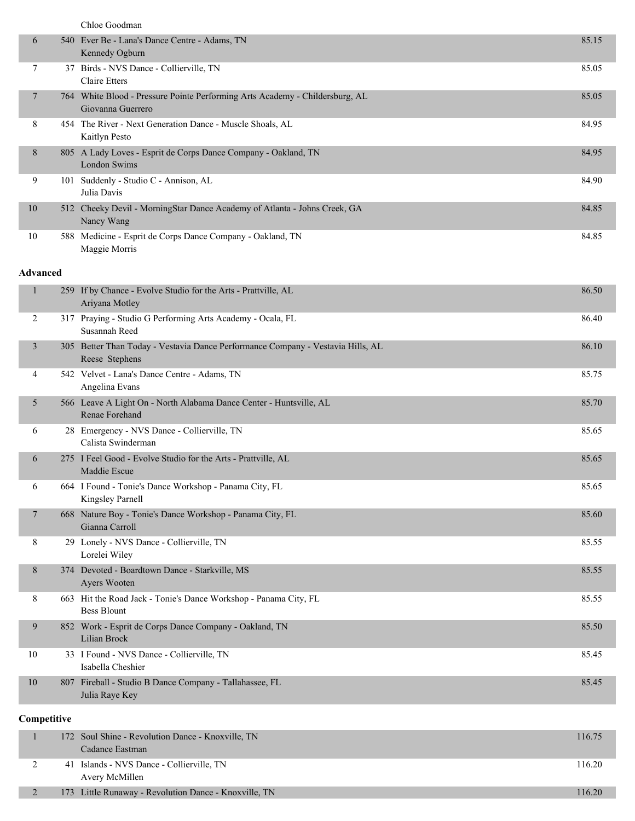|  | Chloe Goodman |
|--|---------------|
|--|---------------|

| 6              |     | 540 Ever Be - Lana's Dance Centre - Adams, TN<br>Kennedy Ogburn                                   | 85.15 |
|----------------|-----|---------------------------------------------------------------------------------------------------|-------|
| 7              |     | 37 Birds - NVS Dance - Collierville, TN<br>Claire Etters                                          | 85.05 |
| $\overline{7}$ |     | 764 White Blood - Pressure Pointe Performing Arts Academy - Childersburg, AL<br>Giovanna Guerrero | 85.05 |
| 8              |     | 454 The River - Next Generation Dance - Muscle Shoals, AL<br>Kaitlyn Pesto                        | 84.95 |
| 8              |     | 805 A Lady Loves - Esprit de Corps Dance Company - Oakland, TN<br>London Swims                    | 84.95 |
| 9              | 101 | Suddenly - Studio C - Annison, AL<br>Julia Davis                                                  | 84.90 |
| 10             |     | 512 Cheeky Devil - MorningStar Dance Academy of Atlanta - Johns Creek, GA<br>Nancy Wang           | 84.85 |
| 10             |     | 588 Medicine - Esprit de Corps Dance Company - Oakland, TN<br>Maggie Morris                       | 84.85 |

#### **Advanced**

| 1              | 259 If by Chance - Evolve Studio for the Arts - Prattville, AL<br>Ariyana Motley                  | 86.50 |
|----------------|---------------------------------------------------------------------------------------------------|-------|
| 2              | 317 Praying - Studio G Performing Arts Academy - Ocala, FL<br>Susannah Reed                       | 86.40 |
| $\mathfrak{Z}$ | 305 Better Than Today - Vestavia Dance Performance Company - Vestavia Hills, AL<br>Reese Stephens | 86.10 |
| 4              | 542 Velvet - Lana's Dance Centre - Adams, TN<br>Angelina Evans                                    | 85.75 |
| 5              | 566 Leave A Light On - North Alabama Dance Center - Huntsville, AL<br>Renae Forehand              | 85.70 |
| 6              | 28 Emergency - NVS Dance - Collierville, TN<br>Calista Swinderman                                 | 85.65 |
| 6              | 275 I Feel Good - Evolve Studio for the Arts - Prattville, AL<br>Maddie Escue                     | 85.65 |
| 6              | 664 I Found - Tonie's Dance Workshop - Panama City, FL<br>Kingsley Parnell                        | 85.65 |
| 7              | 668 Nature Boy - Tonie's Dance Workshop - Panama City, FL<br>Gianna Carroll                       | 85.60 |
| 8              | 29 Lonely - NVS Dance - Collierville, TN<br>Lorelei Wiley                                         | 85.55 |
| 8              | 374 Devoted - Boardtown Dance - Starkville, MS<br>Ayers Wooten                                    | 85.55 |
| 8              | 663 Hit the Road Jack - Tonie's Dance Workshop - Panama City, FL<br><b>Bess Blount</b>            | 85.55 |
| 9              | 852 Work - Esprit de Corps Dance Company - Oakland, TN<br>Lilian Brock                            | 85.50 |
| 10             | 33 I Found - NVS Dance - Collierville, TN<br>Isabella Cheshier                                    | 85.45 |
| 10             | 807 Fireball - Studio B Dance Company - Tallahassee, FL<br>Julia Raye Key                         | 85.45 |
| Competitive    |                                                                                                   |       |

|  | 172 Soul Shine - Revolution Dance - Knoxville, TN     | 116.75 |
|--|-------------------------------------------------------|--------|
|  | Cadance Eastman                                       |        |
|  | 41 Islands - NVS Dance - Collierville, TN             | 116.20 |
|  | Avery McMillen                                        |        |
|  | 173 Little Runaway - Revolution Dance - Knoxville, TN | 116.20 |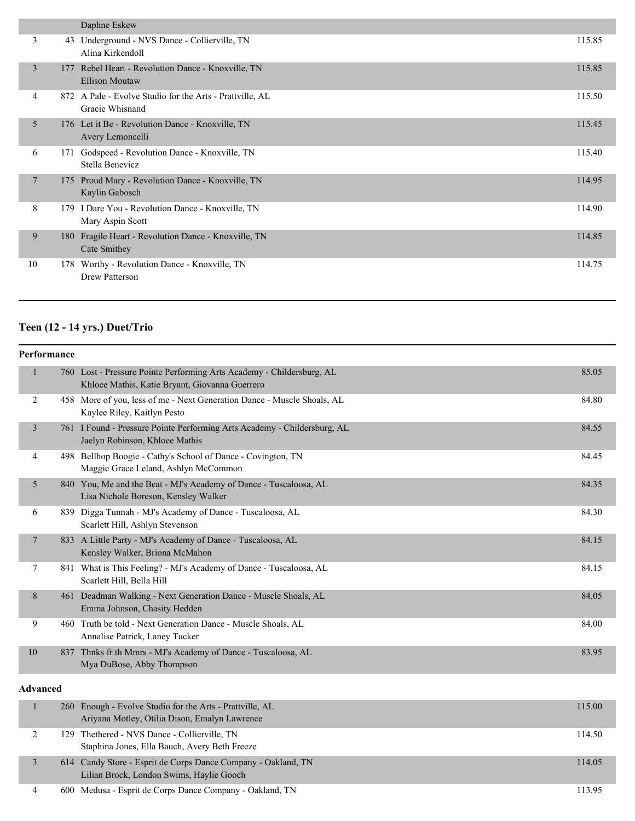|    |     | Daphne Eskew                                                                |        |
|----|-----|-----------------------------------------------------------------------------|--------|
| 3  |     | 43 Underground - NVS Dance - Collierville, TN<br>Alina Kirkendoll           | 115.85 |
| 3  | 177 | Rebel Heart - Revolution Dance - Knoxville, TN<br><b>Ellison Moutaw</b>     | 115.85 |
| 4  |     | 872 A Pale - Evolve Studio for the Arts - Prattville, AL<br>Gracie Whisnand | 115.50 |
| 5  |     | 176 Let it Be - Revolution Dance - Knoxville, TN<br>Avery Lemoncelli        | 115.45 |
| 6  | 171 | Godspeed - Revolution Dance - Knoxville, TN<br>Stella Benevicz              | 115.40 |
| 7  | 175 | Proud Mary - Revolution Dance - Knoxville, TN<br>Kaylin Gabosch             | 114.95 |
| 8  |     | 179 I Dare You - Revolution Dance - Knoxville, TN<br>Mary Aspin Scott       | 114.90 |
| 9  |     | 180 Fragile Heart - Revolution Dance - Knoxville, TN<br>Cate Smithey        | 114.85 |
| 10 | 178 | Worthy - Revolution Dance - Knoxville, TN<br><b>Drew Patterson</b>          | 114.75 |

# **Teen (12 - 14 yrs.) Duet/Trio**

| Performance     |     |                                                                                                                         |        |
|-----------------|-----|-------------------------------------------------------------------------------------------------------------------------|--------|
| 1               |     | 760 Lost - Pressure Pointe Performing Arts Academy - Childersburg, AL<br>Khloee Mathis, Katie Bryant, Giovanna Guerrero | 85.05  |
| 2               |     | 458 More of you, less of me - Next Generation Dance - Muscle Shoals, AL<br>Kaylee Riley, Kaitlyn Pesto                  | 84.80  |
| 3               |     | 761 I Found - Pressure Pointe Performing Arts Academy - Childersburg, AL<br>Jaelyn Robinson, Khloee Mathis              | 84.55  |
| 4               |     | 498 Bellhop Boogie - Cathy's School of Dance - Covington, TN<br>Maggie Grace Leland, Ashlyn McCommon                    | 84.45  |
| 5               |     | 840 You, Me and the Beat - MJ's Academy of Dance - Tuscaloosa, AL<br>Lisa Nichole Boreson, Kensley Walker               | 84.35  |
| 6               |     | 839 Digga Tunnah - MJ's Academy of Dance - Tuscaloosa, AL<br>Scarlett Hill, Ashlyn Stevenson                            | 84.30  |
| $\tau$          |     | 833 A Little Party - MJ's Academy of Dance - Tuscaloosa, AL<br>Kensley Walker, Briona McMahon                           | 84.15  |
| 7               |     | 841 What is This Feeling? - MJ's Academy of Dance - Tuscaloosa, AL<br>Scarlett Hill, Bella Hill                         | 84.15  |
| 8               |     | 461 Deadman Walking - Next Generation Dance - Muscle Shoals, AL<br>Emma Johnson, Chasity Hedden                         | 84.05  |
| 9               |     | 460 Truth be told - Next Generation Dance - Muscle Shoals, AL<br>Annalise Patrick, Laney Tucker                         | 84.00  |
| 10              | 837 | Thnks fr th Mmrs - MJ's Academy of Dance - Tuscaloosa, AL<br>Mya DuBose, Abby Thompson                                  | 83.95  |
| <b>Advanced</b> |     |                                                                                                                         |        |
|                 |     | 260 Enough - Evolve Studio for the Arts - Prattville, AL<br>Arivana Motley, Otilia Dison, Emalyn Lawrence               | 115.00 |

|  | Ariyana Motley, Otilia Dison, Emalyn Lawrence                                                             |        |
|--|-----------------------------------------------------------------------------------------------------------|--------|
|  | 129 Thethered - NVS Dance - Collierville, TN<br>Staphina Jones, Ella Bauch, Avery Beth Freeze             | 114.50 |
|  | 614 Candy Store - Esprit de Corps Dance Company - Oakland, TN<br>Lilian Brock, London Swims, Haylie Gooch | 114.05 |
|  | 600 Medusa - Esprit de Corps Dance Company - Oakland, TN                                                  | 113.95 |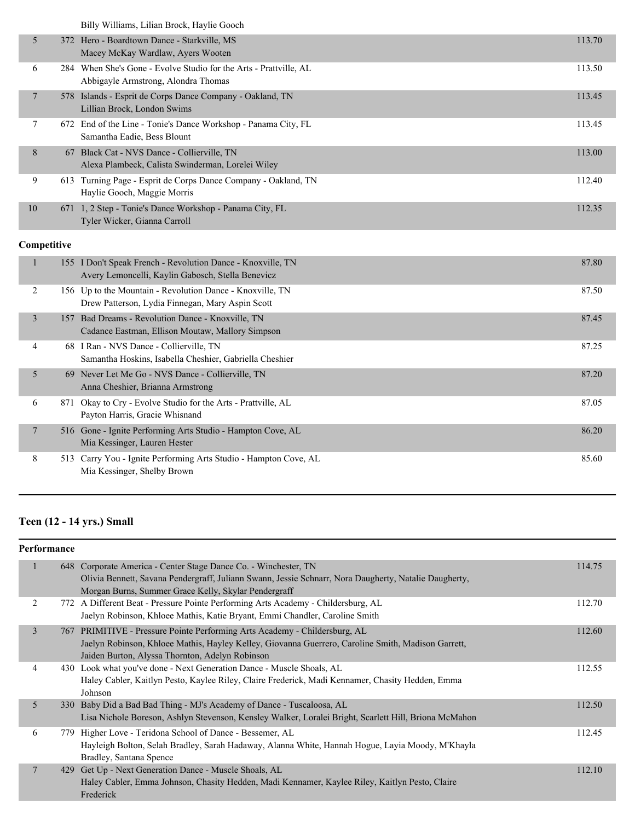Billy Williams, Lilian Brock, Haylie Gooch

|    | Billy Williams, Email Brock, Havite Gooch                                                                |        |
|----|----------------------------------------------------------------------------------------------------------|--------|
| 5  | 372 Hero - Boardtown Dance - Starkville, MS<br>Macey McKay Wardlaw, Ayers Wooten                         | 113.70 |
| 6  | 284 When She's Gone - Evolve Studio for the Arts - Prattville, AL<br>Abbigayle Armstrong, Alondra Thomas | 113.50 |
| 7  | 578 Islands - Esprit de Corps Dance Company - Oakland, TN<br>Lillian Brock, London Swims                 | 113.45 |
| 7  | 672 End of the Line - Tonie's Dance Workshop - Panama City, FL<br>Samantha Eadie, Bess Blount            | 113.45 |
| 8  | 67 Black Cat - NVS Dance - Collierville, TN<br>Alexa Plambeck, Calista Swinderman, Lorelei Wiley         | 113.00 |
| 9  | 613 Turning Page - Esprit de Corps Dance Company - Oakland, TN<br>Haylie Gooch, Maggie Morris            | 112.40 |
| 10 | 671 1, 2 Step - Tonie's Dance Workshop - Panama City, FL<br>Tyler Wicker, Gianna Carroll                 | 112.35 |

#### **Competitive**

|                | 155 I Don't Speak French - Revolution Dance - Knoxville, TN<br>Avery Lemoncelli, Kaylin Gabosch, Stella Benevicz | 87.80 |
|----------------|------------------------------------------------------------------------------------------------------------------|-------|
| 2              | 156 Up to the Mountain - Revolution Dance - Knoxville, TN<br>Drew Patterson, Lydia Finnegan, Mary Aspin Scott    | 87.50 |
| 3              | Bad Dreams - Revolution Dance - Knoxville, TN<br>157<br>Cadance Eastman, Ellison Moutaw, Mallory Simpson         | 87.45 |
| 4              | I Ran - NVS Dance - Collierville, TN<br>68<br>Samantha Hoskins, Isabella Cheshier, Gabriella Cheshier            | 87.25 |
| 5              | 69 Never Let Me Go - NVS Dance - Collierville, TN<br>Anna Cheshier, Brianna Armstrong                            | 87.20 |
| 6              | 871 Okay to Cry - Evolve Studio for the Arts - Prattville, AL<br>Payton Harris, Gracie Whisnand                  | 87.05 |
| $\overline{7}$ | 516 Gone - Ignite Performing Arts Studio - Hampton Cove, AL<br>Mia Kessinger, Lauren Hester                      | 86.20 |
| 8              | Carry You - Ignite Performing Arts Studio - Hampton Cove, AL<br>513<br>Mia Kessinger, Shelby Brown               | 85.60 |

# **Teen (12 - 14 yrs.) Small**

| Performance |                                                                                                                                                                                                                                     |        |
|-------------|-------------------------------------------------------------------------------------------------------------------------------------------------------------------------------------------------------------------------------------|--------|
| 1           | 648 Corporate America - Center Stage Dance Co. - Winchester, TN<br>Olivia Bennett, Savana Pendergraff, Juliann Swann, Jessie Schnarr, Nora Daugherty, Natalie Daugherty,<br>Morgan Burns, Summer Grace Kelly, Skylar Pendergraff    | 114.75 |
| 2           | 772 A Different Beat - Pressure Pointe Performing Arts Academy - Childersburg, AL<br>Jaelyn Robinson, Khloee Mathis, Katie Bryant, Emmi Chandler, Caroline Smith                                                                    | 112.70 |
| 3           | 767 PRIMITIVE - Pressure Pointe Performing Arts Academy - Childersburg, AL<br>Jaelyn Robinson, Khloee Mathis, Hayley Kelley, Giovanna Guerrero, Caroline Smith, Madison Garrett,<br>Jaiden Burton, Alyssa Thornton, Adelyn Robinson | 112.60 |
| 4           | 430 Look what you've done - Next Generation Dance - Muscle Shoals, AL<br>Haley Cabler, Kaitlyn Pesto, Kaylee Riley, Claire Frederick, Madi Kennamer, Chasity Hedden, Emma<br>Johnson                                                | 112.55 |
| 5           | 330 Baby Did a Bad Bad Thing - MJ's Academy of Dance - Tuscaloosa, AL<br>Lisa Nichole Boreson, Ashlyn Stevenson, Kensley Walker, Loralei Bright, Scarlett Hill, Briona McMahon                                                      | 112.50 |
| 6           | 779 Higher Love - Teridona School of Dance - Bessemer, AL<br>Hayleigh Bolton, Selah Bradley, Sarah Hadaway, Alanna White, Hannah Hogue, Layia Moody, M'Khayla<br>Bradley, Santana Spence                                            | 112.45 |
| 7           | 429 Get Up - Next Generation Dance - Muscle Shoals, AL<br>Haley Cabler, Emma Johnson, Chasity Hedden, Madi Kennamer, Kaylee Riley, Kaitlyn Pesto, Claire<br>Frederick                                                               | 112.10 |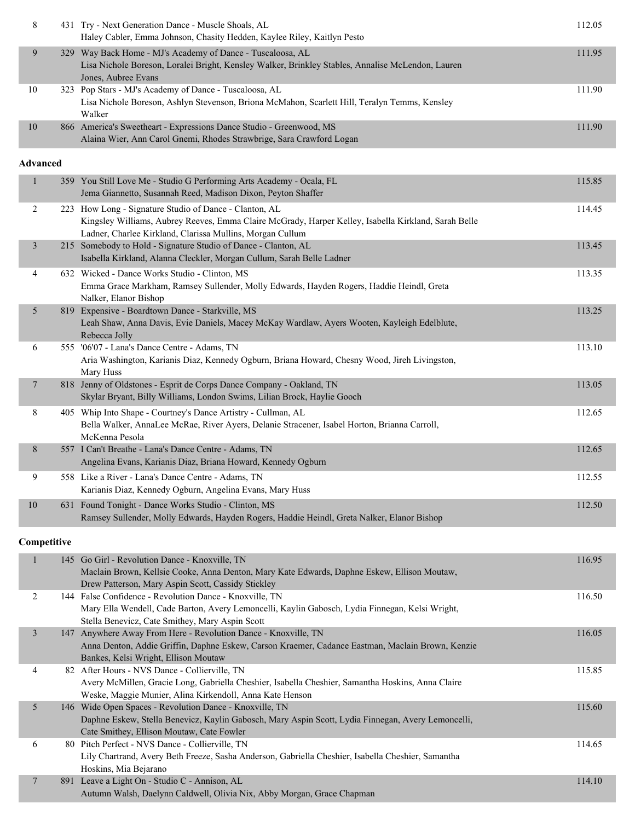| 8               | 431 Try - Next Generation Dance - Muscle Shoals, AL<br>Haley Cabler, Emma Johnson, Chasity Hedden, Kaylee Riley, Kaitlyn Pesto                                                                                              | 112.05 |
|-----------------|-----------------------------------------------------------------------------------------------------------------------------------------------------------------------------------------------------------------------------|--------|
| 9               | 329 Way Back Home - MJ's Academy of Dance - Tuscaloosa, AL<br>Lisa Nichole Boreson, Loralei Bright, Kensley Walker, Brinkley Stables, Annalise McLendon, Lauren<br>Jones, Aubree Evans                                      | 111.95 |
| 10              | 323 Pop Stars - MJ's Academy of Dance - Tuscaloosa, AL<br>Lisa Nichole Boreson, Ashlyn Stevenson, Briona McMahon, Scarlett Hill, Teralyn Temms, Kensley<br>Walker                                                           | 111.90 |
| $10\,$          | 866 America's Sweetheart - Expressions Dance Studio - Greenwood, MS<br>Alaina Wier, Ann Carol Gnemi, Rhodes Strawbrige, Sara Crawford Logan                                                                                 | 111.90 |
| <b>Advanced</b> |                                                                                                                                                                                                                             |        |
| $\mathbf{1}$    | 359 You Still Love Me - Studio G Performing Arts Academy - Ocala, FL<br>Jema Giannetto, Susannah Reed, Madison Dixon, Peyton Shaffer                                                                                        | 115.85 |
| $\overline{c}$  | 223 How Long - Signature Studio of Dance - Clanton, AL<br>Kingsley Williams, Aubrey Reeves, Emma Claire McGrady, Harper Kelley, Isabella Kirkland, Sarah Belle<br>Ladner, Charlee Kirkland, Clarissa Mullins, Morgan Cullum | 114.45 |
| $\mathfrak{Z}$  | 215 Somebody to Hold - Signature Studio of Dance - Clanton, AL<br>Isabella Kirkland, Alanna Cleckler, Morgan Cullum, Sarah Belle Ladner                                                                                     | 113.45 |
| 4               | 632 Wicked - Dance Works Studio - Clinton, MS<br>Emma Grace Markham, Ramsey Sullender, Molly Edwards, Hayden Rogers, Haddie Heindl, Greta<br>Nalker, Elanor Bishop                                                          | 113.35 |
| 5               | 819 Expensive - Boardtown Dance - Starkville, MS<br>Leah Shaw, Anna Davis, Evie Daniels, Macey McKay Wardlaw, Ayers Wooten, Kayleigh Edelblute,<br>Rebecca Jolly                                                            | 113.25 |
| 6               | 555 '06'07 - Lana's Dance Centre - Adams, TN<br>Aria Washington, Karianis Diaz, Kennedy Ogburn, Briana Howard, Chesny Wood, Jireh Livingston,<br>Mary Huss                                                                  | 113.10 |
| $\tau$          | 818 Jenny of Oldstones - Esprit de Corps Dance Company - Oakland, TN<br>Skylar Bryant, Billy Williams, London Swims, Lilian Brock, Haylie Gooch                                                                             | 113.05 |
| 8               | 405 Whip Into Shape - Courtney's Dance Artistry - Cullman, AL<br>Bella Walker, AnnaLee McRae, River Ayers, Delanie Stracener, Isabel Horton, Brianna Carroll,<br>McKenna Pesola                                             | 112.65 |
| 8               | 557 I Can't Breathe - Lana's Dance Centre - Adams, TN<br>Angelina Evans, Karianis Diaz, Briana Howard, Kennedy Ogburn                                                                                                       | 112.65 |
| 9               | 558 Like a River - Lana's Dance Centre - Adams, TN<br>Karianis Diaz, Kennedy Ogburn, Angelina Evans, Mary Huss                                                                                                              | 112.55 |
| 10              | 631 Found Tonight - Dance Works Studio - Clinton, MS<br>Ramsey Sullender, Molly Edwards, Hayden Rogers, Haddie Heindl, Greta Nalker, Elanor Bishop                                                                          | 112.50 |
| Competitive     |                                                                                                                                                                                                                             |        |
| $\mathbf{1}$    | 145 Go Girl - Revolution Dance - Knoxville, TN<br>Maclain Brown, Kellsie Cooke, Anna Denton, Mary Kate Edwards, Daphne Eskew, Ellison Moutaw,<br>Drew Patterson, Mary Aspin Scott, Cassidy Stickley                         | 116.95 |
| 2               | 144 False Confidence - Revolution Dance - Knoxville, TN<br>Mary Ella Wendell, Cade Barton, Avery Lemoncelli, Kaylin Gabosch, Lydia Finnegan, Kelsi Wright,<br>Stella Benevicz, Cate Smithey, Mary Aspin Scott               | 116.50 |
| $\mathfrak{Z}$  | 147 Anywhere Away From Here - Revolution Dance - Knoxville, TN<br>Anna Denton, Addie Griffin, Daphne Eskew, Carson Kraemer, Cadance Eastman, Maclain Brown, Kenzie<br>Bankes, Kelsi Wright, Ellison Moutaw                  | 116.05 |
| 4               | 82 After Hours - NVS Dance - Collierville, TN<br>Avery McMillen, Gracie Long, Gabriella Cheshier, Isabella Cheshier, Samantha Hoskins, Anna Claire<br>Weske, Maggie Munier, Alina Kirkendoll, Anna Kate Henson              | 115.85 |
| 5               | 146 Wide Open Spaces - Revolution Dance - Knoxville, TN<br>Daphne Eskew, Stella Benevicz, Kaylin Gabosch, Mary Aspin Scott, Lydia Finnegan, Avery Lemoncelli,<br>Cate Smithey, Ellison Moutaw, Cate Fowler                  | 115.60 |
| 6               | 80 Pitch Perfect - NVS Dance - Collierville, TN<br>Lily Chartrand, Avery Beth Freeze, Sasha Anderson, Gabriella Cheshier, Isabella Cheshier, Samantha<br>Hoskins, Mia Bejarano                                              | 114.65 |
| 7               | 891 Leave a Light On - Studio C - Annison, AL<br>Autumn Walsh, Daelynn Caldwell, Olivia Nix, Abby Morgan, Grace Chapman                                                                                                     | 114.10 |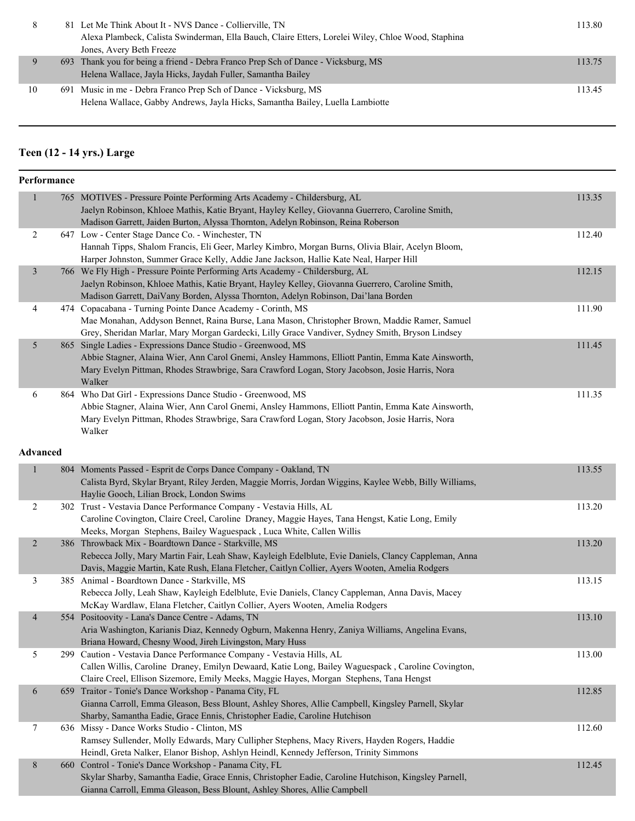|                                                                                                    | 113.80                                                                                                                                                                                                           |
|----------------------------------------------------------------------------------------------------|------------------------------------------------------------------------------------------------------------------------------------------------------------------------------------------------------------------|
| Alexa Plambeck, Calista Swinderman, Ella Bauch, Claire Etters, Lorelei Wiley, Chloe Wood, Staphina |                                                                                                                                                                                                                  |
| Jones, Avery Beth Freeze                                                                           |                                                                                                                                                                                                                  |
|                                                                                                    | 113.75                                                                                                                                                                                                           |
| Helena Wallace, Jayla Hicks, Jaydah Fuller, Samantha Bailey                                        |                                                                                                                                                                                                                  |
|                                                                                                    | 113.45                                                                                                                                                                                                           |
| Helena Wallace, Gabby Andrews, Jayla Hicks, Samantha Bailey, Luella Lambiotte                      |                                                                                                                                                                                                                  |
|                                                                                                    | 81 Let Me Think About It - NVS Dance - Collierville, TN<br>693 Thank you for being a friend - Debra Franco Prep Sch of Dance - Vicksburg, MS<br>691 Music in me - Debra Franco Prep Sch of Dance - Vicksburg, MS |

## **Teen (12 - 14 yrs.) Large**

| Performance    |                                                                                                                                                   |        |
|----------------|---------------------------------------------------------------------------------------------------------------------------------------------------|--------|
| $\mathbf{1}$   | 765 MOTIVES - Pressure Pointe Performing Arts Academy - Childersburg, AL                                                                          | 113.35 |
|                | Jaelyn Robinson, Khloee Mathis, Katie Bryant, Hayley Kelley, Giovanna Guerrero, Caroline Smith,                                                   |        |
|                | Madison Garrett, Jaiden Burton, Alyssa Thornton, Adelyn Robinson, Reina Roberson                                                                  |        |
| 2              | 647 Low - Center Stage Dance Co. - Winchester, TN                                                                                                 | 112.40 |
|                | Hannah Tipps, Shalom Francis, Eli Geer, Marley Kimbro, Morgan Burns, Olivia Blair, Acelyn Bloom,                                                  |        |
|                | Harper Johnston, Summer Grace Kelly, Addie Jane Jackson, Hallie Kate Neal, Harper Hill                                                            |        |
| $\mathfrak{Z}$ | 766 We Fly High - Pressure Pointe Performing Arts Academy - Childersburg, AL                                                                      | 112.15 |
|                | Jaelyn Robinson, Khloee Mathis, Katie Bryant, Hayley Kelley, Giovanna Guerrero, Caroline Smith,                                                   |        |
|                | Madison Garrett, DaiVany Borden, Alyssa Thornton, Adelyn Robinson, Dai'lana Borden                                                                |        |
| $\overline{4}$ | 474 Copacabana - Turning Pointe Dance Academy - Corinth, MS                                                                                       | 111.90 |
|                | Mae Monahan, Addyson Bennet, Raina Burse, Lana Mason, Christopher Brown, Maddie Ramer, Samuel                                                     |        |
|                | Grey, Sheridan Marlar, Mary Morgan Gardecki, Lilly Grace Vandiver, Sydney Smith, Bryson Lindsey                                                   |        |
| 5              | 865 Single Ladies - Expressions Dance Studio - Greenwood, MS                                                                                      | 111.45 |
|                | Abbie Stagner, Alaina Wier, Ann Carol Gnemi, Ansley Hammons, Elliott Pantin, Emma Kate Ainsworth,                                                 |        |
|                | Mary Evelyn Pittman, Rhodes Strawbrige, Sara Crawford Logan, Story Jacobson, Josie Harris, Nora                                                   |        |
|                | Walker                                                                                                                                            |        |
| 6              | 864 Who Dat Girl - Expressions Dance Studio - Greenwood, MS                                                                                       | 111.35 |
|                | Abbie Stagner, Alaina Wier, Ann Carol Gnemi, Ansley Hammons, Elliott Pantin, Emma Kate Ainsworth,                                                 |        |
|                | Mary Evelyn Pittman, Rhodes Strawbrige, Sara Crawford Logan, Story Jacobson, Josie Harris, Nora                                                   |        |
|                | Walker                                                                                                                                            |        |
| Advanced       |                                                                                                                                                   |        |
|                |                                                                                                                                                   |        |
| $\mathbf{1}$   | 804 Moments Passed - Esprit de Corps Dance Company - Oakland, TN                                                                                  | 113.55 |
|                | Calista Byrd, Skylar Bryant, Riley Jerden, Maggie Morris, Jordan Wiggins, Kaylee Webb, Billy Williams,                                            |        |
|                | Haylie Gooch, Lilian Brock, London Swims                                                                                                          |        |
| $\overline{c}$ | 302 Trust - Vestavia Dance Performance Company - Vestavia Hills, AL                                                                               | 113.20 |
|                | Caroline Covington, Claire Creel, Caroline Draney, Maggie Hayes, Tana Hengst, Katie Long, Emily                                                   |        |
|                | Meeks, Morgan Stephens, Bailey Waguespack, Luca White, Callen Willis                                                                              |        |
| $\overline{2}$ | 386 Throwback Mix - Boardtown Dance - Starkville, MS                                                                                              | 113.20 |
|                | Rebecca Jolly, Mary Martin Fair, Leah Shaw, Kayleigh Edelblute, Evie Daniels, Clancy Cappleman, Anna                                              |        |
|                | Davis, Maggie Martin, Kate Rush, Elana Fletcher, Caitlyn Collier, Ayers Wooten, Amelia Rodgers                                                    |        |
| 3              | 385 Animal - Boardtown Dance - Starkville, MS                                                                                                     | 113.15 |
|                | Rebecca Jolly, Leah Shaw, Kayleigh Edelblute, Evie Daniels, Clancy Cappleman, Anna Davis, Macey                                                   |        |
|                | McKay Wardlaw, Elana Fletcher, Caitlyn Collier, Ayers Wooten, Amelia Rodgers                                                                      |        |
| $\overline{4}$ | 554 Positoovity - Lana's Dance Centre - Adams, TN                                                                                                 | 113.10 |
|                | Aria Washington, Karianis Diaz, Kennedy Ogburn, Makenna Henry, Zaniya Williams, Angelina Evans,                                                   |        |
|                | Briana Howard, Chesny Wood, Jireh Livingston, Mary Huss<br>299 Caution - Vestavia Dance Performance Company - Vestavia Hills, AL                  |        |
| 5              |                                                                                                                                                   | 113.00 |
|                | Callen Willis, Caroline Draney, Emilyn Dewaard, Katie Long, Bailey Waguespack, Caroline Covington,                                                |        |
| $\sqrt{6}$     | Claire Creel, Ellison Sizemore, Emily Meeks, Maggie Hayes, Morgan Stephens, Tana Hengst<br>659 Traitor - Tonie's Dance Workshop - Panama City, FL | 112.85 |
|                | Gianna Carroll, Emma Gleason, Bess Blount, Ashley Shores, Allie Campbell, Kingsley Parnell, Skylar                                                |        |
|                | Sharby, Samantha Eadie, Grace Ennis, Christopher Eadie, Caroline Hutchison                                                                        |        |
| $\tau$         | 636 Missy - Dance Works Studio - Clinton, MS                                                                                                      | 112.60 |
|                | Ramsey Sullender, Molly Edwards, Mary Cullipher Stephens, Macy Rivers, Hayden Rogers, Haddie                                                      |        |
|                | Heindl, Greta Nalker, Elanor Bishop, Ashlyn Heindl, Kennedy Jefferson, Trinity Simmons                                                            |        |
| 8              | 660 Control - Tonie's Dance Workshop - Panama City, FL                                                                                            | 112.45 |
|                | Skylar Sharby, Samantha Eadie, Grace Ennis, Christopher Eadie, Caroline Hutchison, Kingsley Parnell,                                              |        |
|                | Gianna Carroll, Emma Gleason, Bess Blount, Ashley Shores, Allie Campbell                                                                          |        |
|                |                                                                                                                                                   |        |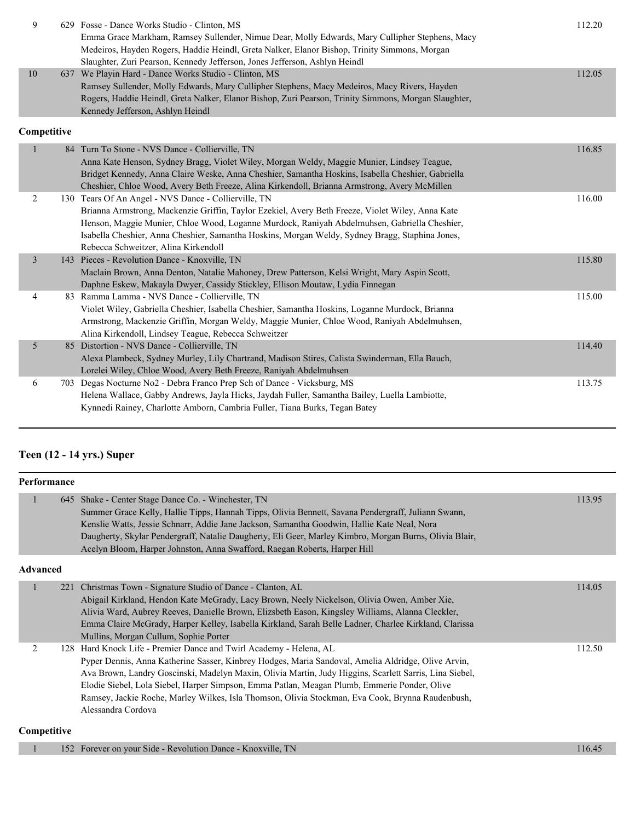| 9              |             | 629 Fosse - Dance Works Studio - Clinton, MS<br>Emma Grace Markham, Ramsey Sullender, Nimue Dear, Molly Edwards, Mary Cullipher Stephens, Macy<br>Medeiros, Hayden Rogers, Haddie Heindl, Greta Nalker, Elanor Bishop, Trinity Simmons, Morgan                                                                                                                                                      | 112.20 |
|----------------|-------------|-----------------------------------------------------------------------------------------------------------------------------------------------------------------------------------------------------------------------------------------------------------------------------------------------------------------------------------------------------------------------------------------------------|--------|
| 10             |             | Slaughter, Zuri Pearson, Kennedy Jefferson, Jones Jefferson, Ashlyn Heindl<br>637 We Playin Hard - Dance Works Studio - Clinton, MS                                                                                                                                                                                                                                                                 | 112.05 |
|                |             | Ramsey Sullender, Molly Edwards, Mary Cullipher Stephens, Macy Medeiros, Macy Rivers, Hayden<br>Rogers, Haddie Heindl, Greta Nalker, Elanor Bishop, Zuri Pearson, Trinity Simmons, Morgan Slaughter,<br>Kennedy Jefferson, Ashlyn Heindl                                                                                                                                                            |        |
|                | Competitive |                                                                                                                                                                                                                                                                                                                                                                                                     |        |
| 1              |             | 84 Turn To Stone - NVS Dance - Collierville, TN<br>Anna Kate Henson, Sydney Bragg, Violet Wiley, Morgan Weldy, Maggie Munier, Lindsey Teague,<br>Bridget Kennedy, Anna Claire Weske, Anna Cheshier, Samantha Hoskins, Isabella Cheshier, Gabriella<br>Cheshier, Chloe Wood, Avery Beth Freeze, Alina Kirkendoll, Brianna Armstrong, Avery McMillen                                                  | 116.85 |
| 2              |             | 130 Tears Of An Angel - NVS Dance - Collierville, TN<br>Brianna Armstrong, Mackenzie Griffin, Taylor Ezekiel, Avery Beth Freeze, Violet Wiley, Anna Kate<br>Henson, Maggie Munier, Chloe Wood, Loganne Murdock, Raniyah Abdelmuhsen, Gabriella Cheshier,<br>Isabella Cheshier, Anna Cheshier, Samantha Hoskins, Morgan Weldy, Sydney Bragg, Staphina Jones,<br>Rebecca Schweitzer, Alina Kirkendoll | 116.00 |
| $\mathfrak{Z}$ |             | 143 Pieces - Revolution Dance - Knoxville, TN<br>Maclain Brown, Anna Denton, Natalie Mahoney, Drew Patterson, Kelsi Wright, Mary Aspin Scott,<br>Daphne Eskew, Makayla Dwyer, Cassidy Stickley, Ellison Moutaw, Lydia Finnegan                                                                                                                                                                      | 115.80 |
| $\overline{4}$ |             | 83 Ramma Lamma - NVS Dance - Collierville, TN<br>Violet Wiley, Gabriella Cheshier, Isabella Cheshier, Samantha Hoskins, Loganne Murdock, Brianna<br>Armstrong, Mackenzie Griffin, Morgan Weldy, Maggie Munier, Chloe Wood, Raniyah Abdelmuhsen,<br>Alina Kirkendoll, Lindsey Teague, Rebecca Schweitzer                                                                                             | 115.00 |
| 5              |             | 85 Distortion - NVS Dance - Collierville, TN<br>Alexa Plambeck, Sydney Murley, Lily Chartrand, Madison Stires, Calista Swinderman, Ella Bauch,<br>Lorelei Wiley, Chloe Wood, Avery Beth Freeze, Raniyah Abdelmuhsen                                                                                                                                                                                 | 114.40 |
| 6              |             | 703 Degas Nocturne No2 - Debra Franco Prep Sch of Dance - Vicksburg, MS<br>Helena Wallace, Gabby Andrews, Jayla Hicks, Jaydah Fuller, Samantha Bailey, Luella Lambiotte,<br>Kynnedi Rainey, Charlotte Amborn, Cambria Fuller, Tiana Burks, Tegan Batey                                                                                                                                              | 113.75 |

## **Teen (12 - 14 yrs.) Super**

| Performance     |                                                                                                                                                                                                                                                                                                                                                                                                                                                                                                          |        |
|-----------------|----------------------------------------------------------------------------------------------------------------------------------------------------------------------------------------------------------------------------------------------------------------------------------------------------------------------------------------------------------------------------------------------------------------------------------------------------------------------------------------------------------|--------|
| 645             | Shake - Center Stage Dance Co. - Winchester, TN<br>Summer Grace Kelly, Hallie Tipps, Hannah Tipps, Olivia Bennett, Savana Pendergraff, Juliann Swann,<br>Kenslie Watts, Jessie Schnarr, Addie Jane Jackson, Samantha Goodwin, Hallie Kate Neal, Nora<br>Daugherty, Skylar Pendergraff, Natalie Daugherty, Eli Geer, Marley Kimbro, Morgan Burns, Olivia Blair,<br>Acelyn Bloom, Harper Johnston, Anna Swafford, Raegan Roberts, Harper Hill                                                              | 113.95 |
| <b>Advanced</b> |                                                                                                                                                                                                                                                                                                                                                                                                                                                                                                          |        |
| 221             | Christmas Town - Signature Studio of Dance - Clanton, AL<br>Abigail Kirkland, Hendon Kate McGrady, Lacy Brown, Neely Nickelson, Olivia Owen, Amber Xie,<br>Alivia Ward, Aubrey Reeves, Danielle Brown, Elizsbeth Eason, Kingsley Williams, Alanna Cleckler,<br>Emma Claire McGrady, Harper Kelley, Isabella Kirkland, Sarah Belle Ladner, Charlee Kirkland, Clarissa<br>Mullins, Morgan Cullum, Sophie Porter                                                                                            | 114.05 |
| 2<br>128        | Hard Knock Life - Premier Dance and Twirl Academy - Helena, AL<br>Pyper Dennis, Anna Katherine Sasser, Kinbrey Hodges, Maria Sandoval, Amelia Aldridge, Olive Arvin,<br>Ava Brown, Landry Goscinski, Madelyn Maxin, Olivia Martin, Judy Higgins, Scarlett Sarris, Lina Siebel,<br>Elodie Siebel, Lola Siebel, Harper Simpson, Emma Patlan, Meagan Plumb, Emmerie Ponder, Olive<br>Ramsey, Jackie Roche, Marley Wilkes, Isla Thomson, Olivia Stockman, Eva Cook, Brynna Raudenbush,<br>Alessandra Cordova | 112.50 |
| Competitive     |                                                                                                                                                                                                                                                                                                                                                                                                                                                                                                          |        |

| 152 Forever on your Side - Revolution Dance - Knoxville, TN | 16.45 |
|-------------------------------------------------------------|-------|
|-------------------------------------------------------------|-------|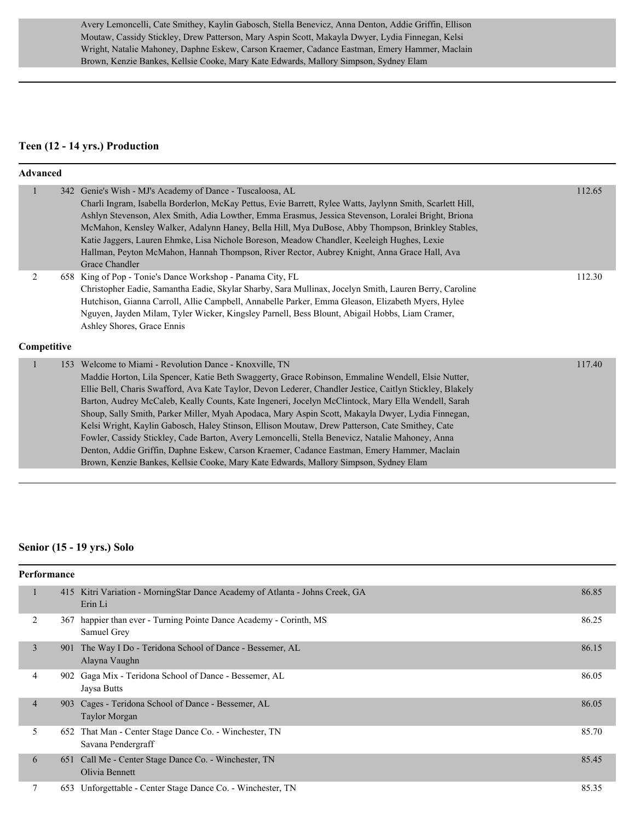Avery Lemoncelli, Cate Smithey, Kaylin Gabosch, Stella Benevicz, Anna Denton, Addie Griffin, Ellison Moutaw, Cassidy Stickley, Drew Patterson, Mary Aspin Scott, Makayla Dwyer, Lydia Finnegan, Kelsi Wright, Natalie Mahoney, Daphne Eskew, Carson Kraemer, Cadance Eastman, Emery Hammer, Maclain Brown, Kenzie Bankes, Kellsie Cooke, Mary Kate Edwards, Mallory Simpson, Sydney Elam

#### **Teen (12 - 14 yrs.) Production**

#### **Advanced**

|                  | 342 Genie's Wish - MJ's Academy of Dance - Tuscaloosa, AL<br>Charli Ingram, Isabella Borderlon, McKay Pettus, Evie Barrett, Rylee Watts, Jaylynn Smith, Scarlett Hill,<br>Ashlyn Stevenson, Alex Smith, Adia Lowther, Emma Erasmus, Jessica Stevenson, Loralei Bright, Briona<br>McMahon, Kensley Walker, Adalynn Haney, Bella Hill, Mya DuBose, Abby Thompson, Brinkley Stables,<br>Katie Jaggers, Lauren Ehmke, Lisa Nichole Boreson, Meadow Chandler, Keeleigh Hughes, Lexie<br>Hallman, Peyton McMahon, Hannah Thompson, River Rector, Aubrey Knight, Anna Grace Hall, Ava<br>Grace Chandler                                                                                                                                                                                                                                                                                  | 112.65 |
|------------------|-----------------------------------------------------------------------------------------------------------------------------------------------------------------------------------------------------------------------------------------------------------------------------------------------------------------------------------------------------------------------------------------------------------------------------------------------------------------------------------------------------------------------------------------------------------------------------------------------------------------------------------------------------------------------------------------------------------------------------------------------------------------------------------------------------------------------------------------------------------------------------------|--------|
| 2<br>Competitive | 658 King of Pop - Tonie's Dance Workshop - Panama City, FL<br>Christopher Eadie, Samantha Eadie, Skylar Sharby, Sara Mullinax, Jocelyn Smith, Lauren Berry, Caroline<br>Hutchison, Gianna Carroll, Allie Campbell, Annabelle Parker, Emma Gleason, Elizabeth Myers, Hylee<br>Nguyen, Jayden Milam, Tyler Wicker, Kingsley Parnell, Bess Blount, Abigail Hobbs, Liam Cramer,<br>Ashley Shores, Grace Ennis                                                                                                                                                                                                                                                                                                                                                                                                                                                                         | 112.30 |
|                  | 153 Welcome to Miami - Revolution Dance - Knoxville, TN<br>Maddie Horton, Lila Spencer, Katie Beth Swaggerty, Grace Robinson, Emmaline Wendell, Elsie Nutter,<br>Ellie Bell, Charis Swafford, Ava Kate Taylor, Devon Lederer, Chandler Jestice, Caitlyn Stickley, Blakely<br>Barton, Audrey McCaleb, Keally Counts, Kate Ingeneri, Jocelyn McClintock, Mary Ella Wendell, Sarah<br>Shoup, Sally Smith, Parker Miller, Myah Apodaca, Mary Aspin Scott, Makayla Dwyer, Lydia Finnegan,<br>Kelsi Wright, Kaylin Gabosch, Haley Stinson, Ellison Moutaw, Drew Patterson, Cate Smithey, Cate<br>Fowler, Cassidy Stickley, Cade Barton, Avery Lemoncelli, Stella Benevicz, Natalie Mahoney, Anna<br>Denton, Addie Griffin, Daphne Eskew, Carson Kraemer, Cadance Eastman, Emery Hammer, Maclain<br>Brown, Kenzie Bankes, Kellsie Cooke, Mary Kate Edwards, Mallory Simpson, Sydney Elam | 117.40 |

#### **Senior (15 - 19 yrs.) Solo**

|  | <b>Performance</b> |     |                                                                                         |       |  |
|--|--------------------|-----|-----------------------------------------------------------------------------------------|-------|--|
|  | 1                  |     | 415 Kitri Variation - MorningStar Dance Academy of Atlanta - Johns Creek, GA<br>Erin Li | 86.85 |  |
|  | 2                  | 367 | happier than ever - Turning Pointe Dance Academy - Corinth, MS<br>Samuel Grey           | 86.25 |  |
|  | 3                  | 901 | The Way I Do - Teridona School of Dance - Bessemer, AL<br>Alayna Vaughn                 | 86.15 |  |
|  | $\overline{4}$     |     | 902 Gaga Mix - Teridona School of Dance - Bessemer, AL<br>Jaysa Butts                   | 86.05 |  |
|  | $\overline{4}$     |     | 903 Cages - Teridona School of Dance - Bessemer, AL<br><b>Taylor Morgan</b>             | 86.05 |  |
|  | 5                  | 652 | That Man - Center Stage Dance Co. - Winchester, TN<br>Savana Pendergraff                | 85.70 |  |
|  | 6                  |     | 651 Call Me - Center Stage Dance Co. - Winchester, TN<br>Olivia Bennett                 | 85.45 |  |
|  | 7                  |     | 653 Unforgettable - Center Stage Dance Co. - Winchester, TN                             | 85.35 |  |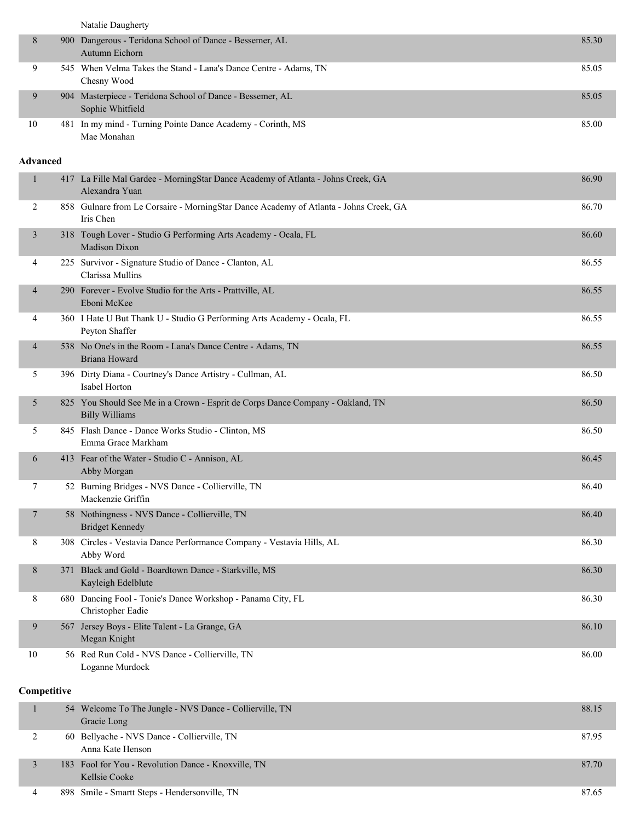|                 | Natalie Daugherty                                                                                       |       |
|-----------------|---------------------------------------------------------------------------------------------------------|-------|
| 8               | 900 Dangerous - Teridona School of Dance - Bessemer, AL<br>Autumn Eichorn                               | 85.30 |
| 9               | 545 When Velma Takes the Stand - Lana's Dance Centre - Adams, TN<br>Chesny Wood                         | 85.05 |
| 9               | 904 Masterpiece - Teridona School of Dance - Bessemer, AL<br>Sophie Whitfield                           | 85.05 |
| 10              | 481 In my mind - Turning Pointe Dance Academy - Corinth, MS<br>Mae Monahan                              | 85.00 |
| <b>Advanced</b> |                                                                                                         |       |
| 1               | 417 La Fille Mal Gardee - MorningStar Dance Academy of Atlanta - Johns Creek, GA<br>Alexandra Yuan      | 86.90 |
| 2               | 858 Gulnare from Le Corsaire - MorningStar Dance Academy of Atlanta - Johns Creek, GA<br>Iris Chen      | 86.70 |
| $\mathfrak{Z}$  | 318 Tough Lover - Studio G Performing Arts Academy - Ocala, FL<br><b>Madison Dixon</b>                  | 86.60 |
| 4               | 225 Survivor - Signature Studio of Dance - Clanton, AL<br>Clarissa Mullins                              | 86.55 |
| 4               | 290 Forever - Evolve Studio for the Arts - Prattville, AL<br>Eboni McKee                                | 86.55 |
| 4               | 360 I Hate U But Thank U - Studio G Performing Arts Academy - Ocala, FL<br>Peyton Shaffer               | 86.55 |
| 4               | 538 No One's in the Room - Lana's Dance Centre - Adams, TN<br>Briana Howard                             | 86.55 |
| 5               | 396 Dirty Diana - Courtney's Dance Artistry - Cullman, AL<br>Isabel Horton                              | 86.50 |
| 5               | 825 You Should See Me in a Crown - Esprit de Corps Dance Company - Oakland, TN<br><b>Billy Williams</b> | 86.50 |
| 5               | 845 Flash Dance - Dance Works Studio - Clinton, MS<br>Emma Grace Markham                                | 86.50 |
| 6               | 413 Fear of the Water - Studio C - Annison, AL<br>Abby Morgan                                           | 86.45 |
| $\tau$          | 52 Burning Bridges - NVS Dance - Collierville, TN<br>Mackenzie Griffin                                  | 86.40 |
| 7               | 58 Nothingness - NVS Dance - Collierville, TN<br><b>Bridget Kennedy</b>                                 | 86.40 |
| 8               | 308 Circles - Vestavia Dance Performance Company - Vestavia Hills, AL<br>Abby Word                      | 86.30 |
| 8               | 371 Black and Gold - Boardtown Dance - Starkville, MS<br>Kayleigh Edelblute                             | 86.30 |
| 8               | 680 Dancing Fool - Tonie's Dance Workshop - Panama City, FL<br>Christopher Eadie                        | 86.30 |
| 9               | 567 Jersey Boys - Elite Talent - La Grange, GA<br>Megan Knight                                          | 86.10 |
| 10              | 56 Red Run Cold - NVS Dance - Collierville, TN<br>Loganne Murdock                                       | 86.00 |
| Competitive     |                                                                                                         |       |
| 1               | 54 Welcome To The Jungle - NVS Dance - Collierville, TN<br>Gracie Long                                  | 88.15 |
| 2               | 60 Bellyache - NVS Dance - Collierville, TN<br>Anna Kate Henson                                         | 87.95 |

3 183 Fool for You - Revolution Dance - Knoxville, TN 87.70

| ≖ | 898<br>TN<br>Hendersonville.<br>$\sim$<br><b>Smartt Steps -</b><br>Smile<br>. | o-<br>$\Delta$<br>$\cdot \mathbf{v} \cdot$ |
|---|-------------------------------------------------------------------------------|--------------------------------------------|

Kellsie Cooke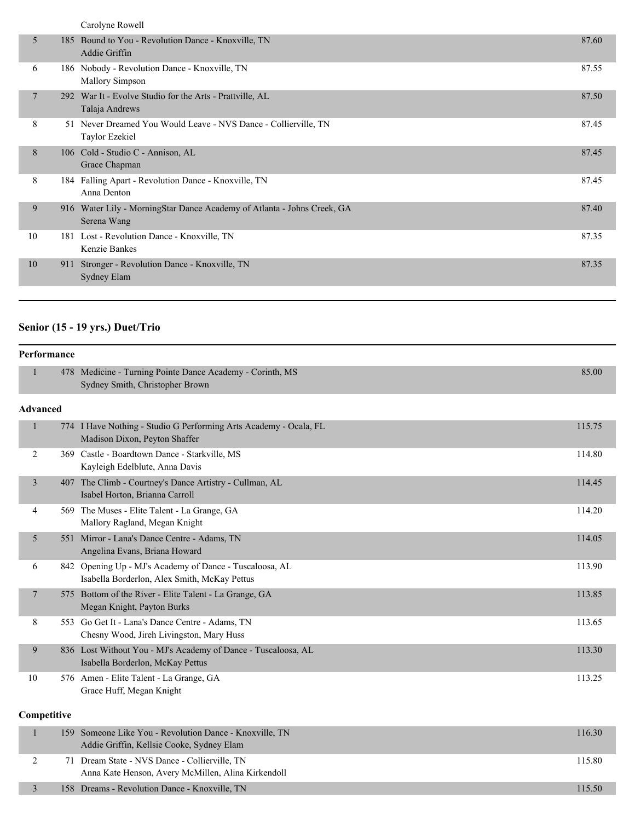|  |  | Carolyne Rowell |
|--|--|-----------------|
|--|--|-----------------|

| 5  |     | 185 Bound to You - Revolution Dance - Knoxville, TN<br>Addie Griffin                   | 87.60 |
|----|-----|----------------------------------------------------------------------------------------|-------|
| 6  |     | 186 Nobody - Revolution Dance - Knoxville, TN<br><b>Mallory Simpson</b>                | 87.55 |
|    |     | 292 War It - Evolve Studio for the Arts - Prattville, AL<br>Talaja Andrews             | 87.50 |
| 8  | 51  | Never Dreamed You Would Leave - NVS Dance - Collierville, TN<br>Taylor Ezekiel         | 87.45 |
| 8  |     | 106 Cold - Studio C - Annison, AL<br>Grace Chapman                                     | 87.45 |
| 8  |     | 184 Falling Apart - Revolution Dance - Knoxville, TN<br>Anna Denton                    | 87.45 |
| 9  |     | 916 Water Lily - MorningStar Dance Academy of Atlanta - Johns Creek, GA<br>Serena Wang | 87.40 |
| 10 |     | 181 Lost - Revolution Dance - Knoxville, TN<br>Kenzie Bankes                           | 87.35 |
| 10 | 911 | Stronger - Revolution Dance - Knoxville, TN<br><b>Sydney Elam</b>                      | 87.35 |
|    |     |                                                                                        |       |

## **Senior (15 - 19 yrs.) Duet/Trio**

| Performance    |                 |                                                                                                         |        |
|----------------|-----------------|---------------------------------------------------------------------------------------------------------|--------|
|                |                 | 478 Medicine - Turning Pointe Dance Academy - Corinth, MS<br>Sydney Smith, Christopher Brown            | 85.00  |
|                | <b>Advanced</b> |                                                                                                         |        |
| $\mathbf{1}$   |                 | 774 I Have Nothing - Studio G Performing Arts Academy - Ocala, FL<br>Madison Dixon, Peyton Shaffer      | 115.75 |
| 2              |                 | 369 Castle - Boardtown Dance - Starkville, MS<br>Kayleigh Edelblute, Anna Davis                         | 114.80 |
| 3              |                 | 407 The Climb - Courtney's Dance Artistry - Cullman, AL<br>Isabel Horton, Brianna Carroll               | 114.45 |
| 4              |                 | 569 The Muses - Elite Talent - La Grange, GA<br>Mallory Ragland, Megan Knight                           | 114.20 |
| 5              |                 | 551 Mirror - Lana's Dance Centre - Adams, TN<br>Angelina Evans, Briana Howard                           | 114.05 |
| 6              |                 | 842 Opening Up - MJ's Academy of Dance - Tuscaloosa, AL<br>Isabella Borderlon, Alex Smith, McKay Pettus | 113.90 |
| $\overline{7}$ |                 | 575 Bottom of the River - Elite Talent - La Grange, GA<br>Megan Knight, Payton Burks                    | 113.85 |
| 8              |                 | 553 Go Get It - Lana's Dance Centre - Adams, TN<br>Chesny Wood, Jireh Livingston, Mary Huss             | 113.65 |
| 9              |                 | 836 Lost Without You - MJ's Academy of Dance - Tuscaloosa, AL<br>Isabella Borderlon, McKay Pettus       | 113.30 |
| 10             |                 | 576 Amen - Elite Talent - La Grange, GA<br>Grace Huff, Megan Knight                                     | 113.25 |
|                | Competitive     |                                                                                                         |        |
| $\mathbf{1}$   |                 | 159 Someone Like You - Revolution Dance - Knoxville, TN<br>Addie Griffin, Kellsie Cooke, Sydney Elam    | 116.30 |
| 2              |                 | 71 Dream State - NVS Dance - Collierville, TN<br>Anna Kate Henson, Avery McMillen, Alina Kirkendoll     | 115.80 |

3 158 Dreams - Revolution Dance - Knoxville, TN 115.50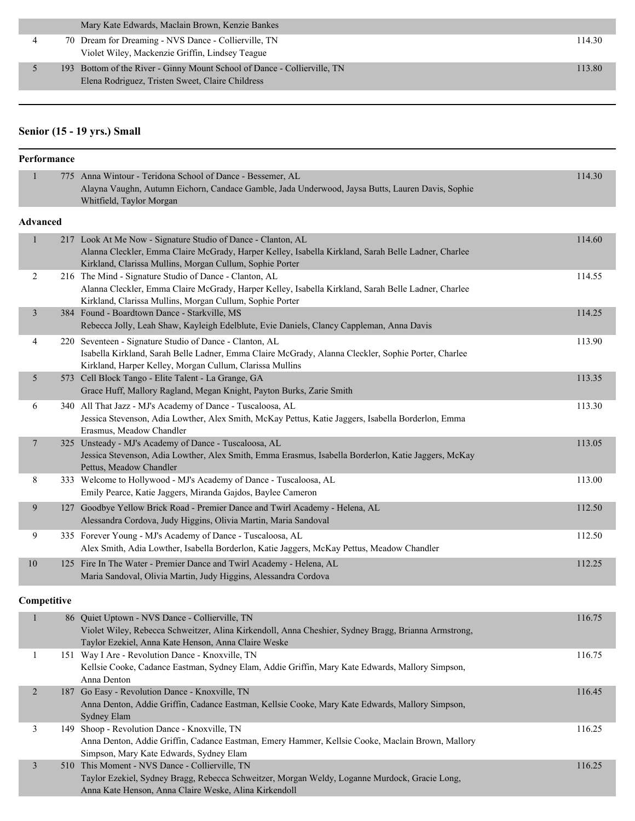|   | Mary Kate Edwards, Maclain Brown, Kenzie Bankes                          |        |
|---|--------------------------------------------------------------------------|--------|
| 4 | 70 Dream for Dreaming - NVS Dance - Collierville, TN                     | 114.30 |
|   | Violet Wiley, Mackenzie Griffin, Lindsey Teague                          |        |
|   | 193 Bottom of the River - Ginny Mount School of Dance - Collierville, TN | 113.80 |
|   | Elena Rodriguez, Tristen Sweet, Claire Childress                         |        |

## **Senior (15 - 19 yrs.) Small**

| Performance    |             |                                                                                                                                                                                                                                 |        |  |
|----------------|-------------|---------------------------------------------------------------------------------------------------------------------------------------------------------------------------------------------------------------------------------|--------|--|
| $\mathbf{1}$   |             | 775 Anna Wintour - Teridona School of Dance - Bessemer, AL                                                                                                                                                                      | 114.30 |  |
|                |             | Alayna Vaughn, Autumn Eichorn, Candace Gamble, Jada Underwood, Jaysa Butts, Lauren Davis, Sophie<br>Whitfield, Taylor Morgan                                                                                                    |        |  |
| Advanced       |             |                                                                                                                                                                                                                                 |        |  |
| $\mathbf{1}$   |             | 217 Look At Me Now - Signature Studio of Dance - Clanton, AL<br>Alanna Cleckler, Emma Claire McGrady, Harper Kelley, Isabella Kirkland, Sarah Belle Ladner, Charlee<br>Kirkland, Clarissa Mullins, Morgan Cullum, Sophie Porter | 114.60 |  |
| 2              |             | 216 The Mind - Signature Studio of Dance - Clanton, AL<br>Alanna Cleckler, Emma Claire McGrady, Harper Kelley, Isabella Kirkland, Sarah Belle Ladner, Charlee<br>Kirkland, Clarissa Mullins, Morgan Cullum, Sophie Porter       | 114.55 |  |
| 3              |             | 384 Found - Boardtown Dance - Starkville, MS<br>Rebecca Jolly, Leah Shaw, Kayleigh Edelblute, Evie Daniels, Clancy Cappleman, Anna Davis                                                                                        | 114.25 |  |
| 4              |             | 220 Seventeen - Signature Studio of Dance - Clanton, AL<br>Isabella Kirkland, Sarah Belle Ladner, Emma Claire McGrady, Alanna Cleckler, Sophie Porter, Charlee<br>Kirkland, Harper Kelley, Morgan Cullum, Clarissa Mullins      | 113.90 |  |
| 5              |             | 573 Cell Block Tango - Elite Talent - La Grange, GA<br>Grace Huff, Mallory Ragland, Megan Knight, Payton Burks, Zarie Smith                                                                                                     | 113.35 |  |
| 6              |             | 340 All That Jazz - MJ's Academy of Dance - Tuscaloosa, AL<br>Jessica Stevenson, Adia Lowther, Alex Smith, McKay Pettus, Katie Jaggers, Isabella Borderlon, Emma<br>Erasmus, Meadow Chandler                                    | 113.30 |  |
| 7              |             | 325 Unsteady - MJ's Academy of Dance - Tuscaloosa, AL<br>Jessica Stevenson, Adia Lowther, Alex Smith, Emma Erasmus, Isabella Borderlon, Katie Jaggers, McKay<br>Pettus, Meadow Chandler                                         | 113.05 |  |
| 8              |             | 333 Welcome to Hollywood - MJ's Academy of Dance - Tuscaloosa, AL<br>Emily Pearce, Katie Jaggers, Miranda Gajdos, Baylee Cameron                                                                                                | 113.00 |  |
| 9              |             | 127 Goodbye Yellow Brick Road - Premier Dance and Twirl Academy - Helena, AL<br>Alessandra Cordova, Judy Higgins, Olivia Martin, Maria Sandoval                                                                                 | 112.50 |  |
| 9              |             | 335 Forever Young - MJ's Academy of Dance - Tuscaloosa, AL<br>Alex Smith, Adia Lowther, Isabella Borderlon, Katie Jaggers, McKay Pettus, Meadow Chandler                                                                        | 112.50 |  |
| 10             |             | 125 Fire In The Water - Premier Dance and Twirl Academy - Helena, AL<br>Maria Sandoval, Olivia Martin, Judy Higgins, Alessandra Cordova                                                                                         | 112.25 |  |
|                | Competitive |                                                                                                                                                                                                                                 |        |  |
| $\mathbf{1}$   |             | 86 Quiet Uptown - NVS Dance - Collierville, TN<br>Violet Wiley, Rebecca Schweitzer, Alina Kirkendoll, Anna Cheshier, Sydney Bragg, Brianna Armstrong,<br>Taylor Ezekiel, Anna Kate Henson, Anna Claire Weske                    | 116.75 |  |
| $\mathbf{1}$   |             | 151 Way I Are - Revolution Dance - Knoxville, TN<br>Kellsie Cooke, Cadance Eastman, Sydney Elam, Addie Griffin, Mary Kate Edwards, Mallory Simpson,<br>Anna Denton                                                              | 116.75 |  |
| $\overline{2}$ |             | 187 Go Easy - Revolution Dance - Knoxville, TN<br>Anna Denton, Addie Griffin, Cadance Eastman, Kellsie Cooke, Mary Kate Edwards, Mallory Simpson,<br><b>Sydney Elam</b>                                                         | 116.45 |  |
| 3              |             | 149 Shoop - Revolution Dance - Knoxville, TN<br>Anna Denton, Addie Griffin, Cadance Eastman, Emery Hammer, Kellsie Cooke, Maclain Brown, Mallory<br>Simpson, Mary Kate Edwards, Sydney Elam                                     | 116.25 |  |
| $\mathfrak{Z}$ |             | 510 This Moment - NVS Dance - Collierville, TN<br>Taylor Ezekiel, Sydney Bragg, Rebecca Schweitzer, Morgan Weldy, Loganne Murdock, Gracie Long,<br>Anna Kate Henson, Anna Claire Weske, Alina Kirkendoll                        | 116.25 |  |